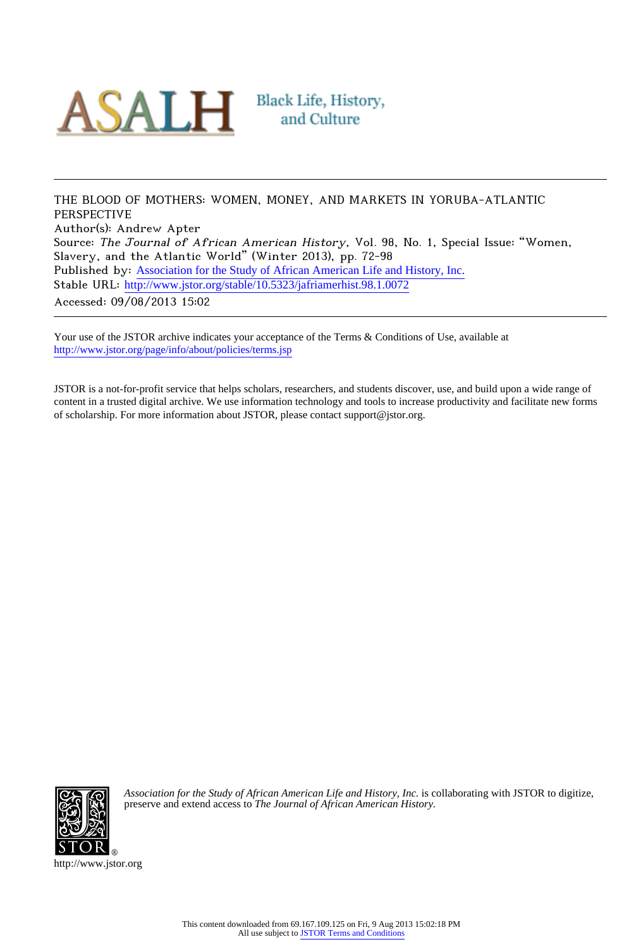

THE BLOOD OF MOTHERS: WOMEN, MONEY, AND MARKETS IN YORUBA-ATLANTIC PERSPECTIVE Author(s): Andrew Apter Source: The Journal of African American History, Vol. 98, No. 1, Special Issue: "Women, Slavery, and the Atlantic World" (Winter 2013), pp. 72-98 Published by: [Association for the Study of African American Life and History, Inc.](http://www.jstor.org/action/showPublisher?publisherCode=asalh) Stable URL: http://www.jstor.org/stable/10.5323/jafriamerhist.98.1.0072 Accessed: 09/08/2013 15:02

Your use of the JSTOR archive indicates your acceptance of the Terms & Conditions of Use, available at <http://www.jstor.org/page/info/about/policies/terms.jsp>

JSTOR is a not-for-profit service that helps scholars, researchers, and students discover, use, and build upon a wide range of content in a trusted digital archive. We use information technology and tools to increase productivity and facilitate new forms of scholarship. For more information about JSTOR, please contact support@jstor.org.



*Association for the Study of African American Life and History, Inc.* is collaborating with JSTOR to digitize, preserve and extend access to *The Journal of African American History.*

http://www.jstor.org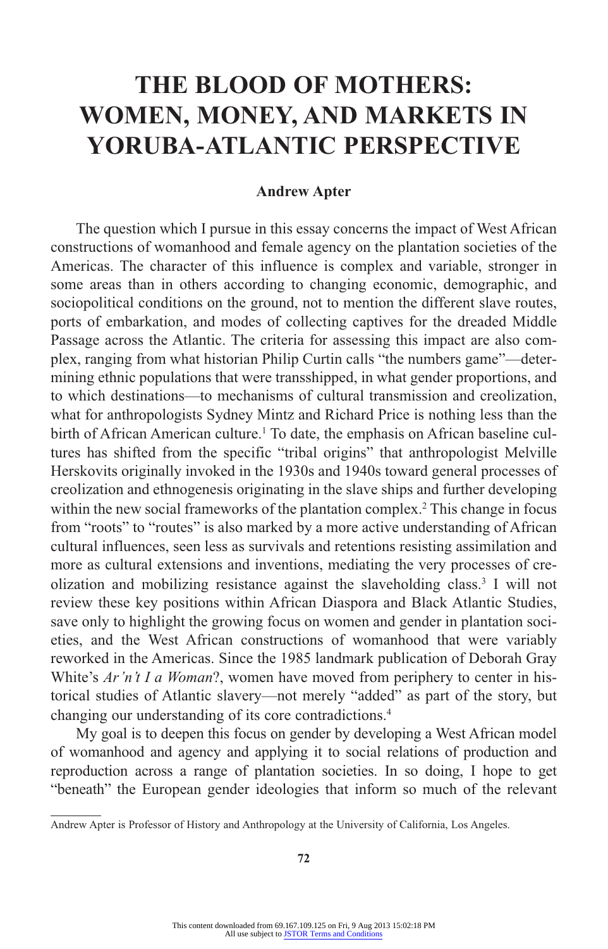# **THE BLOOD OF MOTHERS: WOMEN, MONEY, AND MARKETS IN YORUBA-ATLANTIC PERSPECTIVE**

## **Andrew Apter**

The question which I pursue in this essay concerns the impact of West African constructions of womanhood and female agency on the plantation societies of the Americas. The character of this influence is complex and variable, stronger in some areas than in others according to changing economic, demographic, and sociopolitical conditions on the ground, not to mention the different slave routes, ports of embarkation, and modes of collecting captives for the dreaded Middle Passage across the Atlantic. The criteria for assessing this impact are also complex, ranging from what historian Philip Curtin calls "the numbers game"—determining ethnic populations that were transshipped, in what gender proportions, and to which destinations—to mechanisms of cultural transmission and creolization, what for anthropologists Sydney Mintz and Richard Price is nothing less than the birth of African American culture.<sup>1</sup> To date, the emphasis on African baseline cultures has shifted from the specific "tribal origins" that anthropologist Melville Herskovits originally invoked in the 1930s and 1940s toward general processes of creolization and ethnogenesis originating in the slave ships and further developing within the new social frameworks of the plantation complex.<sup>2</sup> This change in focus from "roots" to "routes" is also marked by a more active understanding of African cultural influences, seen less as survivals and retentions resisting assimilation and more as cultural extensions and inventions, mediating the very processes of creolization and mobilizing resistance against the slaveholding class.3 I will not review these key positions within African Diaspora and Black Atlantic Studies, save only to highlight the growing focus on women and gender in plantation societies, and the West African constructions of womanhood that were variably reworked in the Americas. Since the 1985 landmark publication of Deborah Gray White's *Ar'n't I a Woman*?, women have moved from periphery to center in historical studies of Atlantic slavery—not merely "added" as part of the story, but changing our understanding of its core contradictions.4

My goal is to deepen this focus on gender by developing a West African model of womanhood and agency and applying it to social relations of production and reproduction across a range of plantation societies. In so doing, I hope to get "beneath" the European gender ideologies that inform so much of the relevant

Andrew Apter is Professor of History and Anthropology at the University of California, Los Angeles.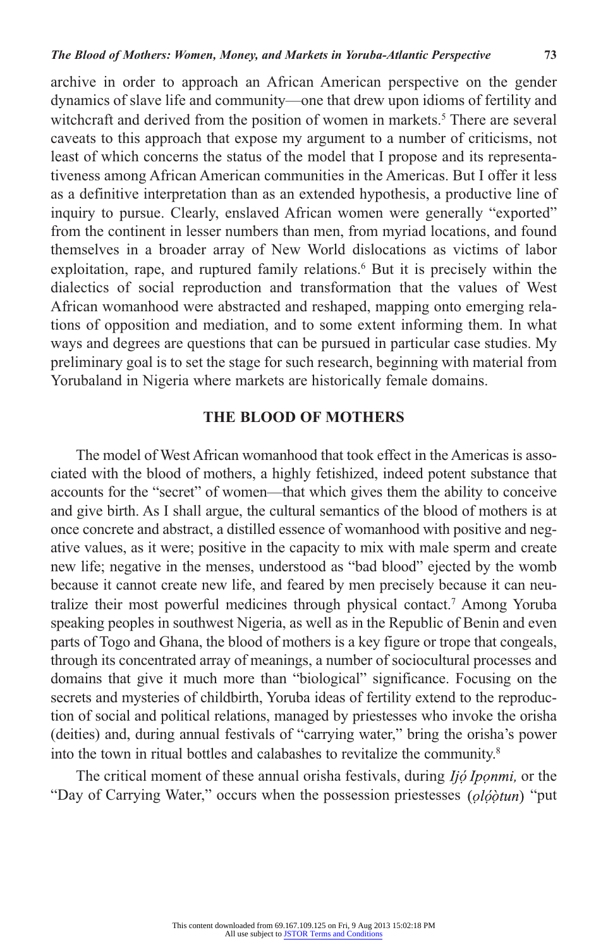archive in order to approach an African American perspective on the gender dynamics of slave life and community—one that drew upon idioms of fertility and witchcraft and derived from the position of women in markets.<sup>5</sup> There are several caveats to this approach that expose my argument to a number of criticisms, not least of which concerns the status of the model that I propose and its representativeness among African American communities in the Americas. But I offer it less as a definitive interpretation than as an extended hypothesis, a productive line of inquiry to pursue. Clearly, enslaved African women were generally "exported" from the continent in lesser numbers than men, from myriad locations, and found themselves in a broader array of New World dislocations as victims of labor exploitation, rape, and ruptured family relations.<sup>6</sup> But it is precisely within the dialectics of social reproduction and transformation that the values of West African womanhood were abstracted and reshaped, mapping onto emerging relations of opposition and mediation, and to some extent informing them. In what ways and degrees are questions that can be pursued in particular case studies. My preliminary goal is to set the stage for such research, beginning with material from Yorubaland in Nigeria where markets are historically female domains.

## **THE BLOOD OF MOTHERS**

The model of West African womanhood that took effect in the Americas is associated with the blood of mothers, a highly fetishized, indeed potent substance that accounts for the "secret" of women—that which gives them the ability to conceive and give birth. As I shall argue, the cultural semantics of the blood of mothers is at once concrete and abstract, a distilled essence of womanhood with positive and negative values, as it were; positive in the capacity to mix with male sperm and create new life; negative in the menses, understood as "bad blood" ejected by the womb because it cannot create new life, and feared by men precisely because it can neutralize their most powerful medicines through physical contact.7 Among Yoruba speaking peoples in southwest Nigeria, as well as in the Republic of Benin and even parts of Togo and Ghana, the blood of mothers is a key figure or trope that congeals, through its concentrated array of meanings, a number of sociocultural processes and domains that give it much more than "biological" significance. Focusing on the secrets and mysteries of childbirth, Yoruba ideas of fertility extend to the reproduction of social and political relations, managed by priestesses who invoke the orisha (deities) and, during annual festivals of "carrying water," bring the orisha's power into the town in ritual bottles and calabashes to revitalize the community.8

The critical moment of these annual orisha festivals, during  $Ij\acute{o}Ipomni$ , or the "Day of Carrying Water," occurs when the possession priestesses (olóotun) "put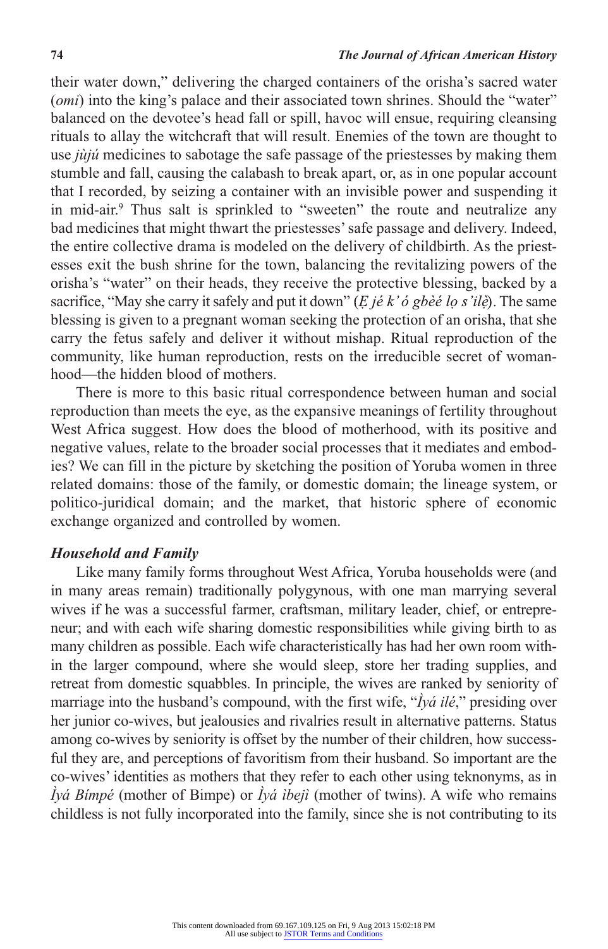their water down," delivering the charged containers of the orisha's sacred water (*omi*) into the king's palace and their associated town shrines. Should the "water" balanced on the devotee's head fall or spill, havoc will ensue, requiring cleansing rituals to allay the witchcraft that will result. Enemies of the town are thought to use *jùjú* medicines to sabotage the safe passage of the priestesses by making them stumble and fall, causing the calabash to break apart, or, as in one popular account that I recorded, by seizing a container with an invisible power and suspending it in mid-air.9 Thus salt is sprinkled to "sweeten" the route and neutralize any bad medicines that might thwart the priestesses' safe passage and delivery. Indeed, the entire collective drama is modeled on the delivery of childbirth. As the priestesses exit the bush shrine for the town, balancing the revitalizing powers of the orisha's "water" on their heads, they receive the protective blessing, backed by a sacrifice, "May she carry it safely and put it down" (E jé k' ó gbè lo s'ile). The same blessing is given to a pregnant woman seeking the protection of an orisha, that she carry the fetus safely and deliver it without mishap. Ritual reproduction of the community, like human reproduction, rests on the irreducible secret of womanhood—the hidden blood of mothers.

There is more to this basic ritual correspondence between human and social reproduction than meets the eye, as the expansive meanings of fertility throughout West Africa suggest. How does the blood of motherhood, with its positive and negative values, relate to the broader social processes that it mediates and embodies? We can fill in the picture by sketching the position of Yoruba women in three related domains: those of the family, or domestic domain; the lineage system, or politico-juridical domain; and the market, that historic sphere of economic exchange organized and controlled by women.

## *Household and Family*

Like many family forms throughout West Africa, Yoruba households were (and in many areas remain) traditionally polygynous, with one man marrying several wives if he was a successful farmer, craftsman, military leader, chief, or entrepreneur; and with each wife sharing domestic responsibilities while giving birth to as many children as possible. Each wife characteristically has had her own room within the larger compound, where she would sleep, store her trading supplies, and retreat from domestic squabbles. In principle, the wives are ranked by seniority of marriage into the husband's compound, with the first wife, "*Ìyá ilé*," presiding over her junior co-wives, but jealousies and rivalries result in alternative patterns. Status among co-wives by seniority is offset by the number of their children, how successful they are, and perceptions of favoritism from their husband. So important are the co-wives' identities as mothers that they refer to each other using teknonyms, as in *Ìyá Bímpé* (mother of Bimpe) or *Ìyá ìbejì* (mother of twins). A wife who remains childless is not fully incorporated into the family, since she is not contributing to its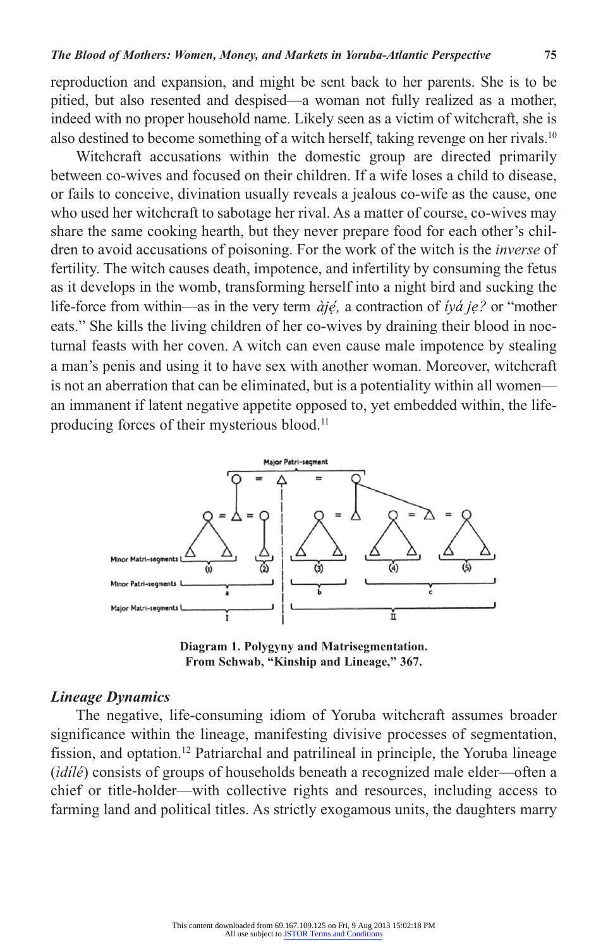reproduction and expansion, and might be sent back to her parents. She is to be pitied, but also resented and despised—a woman not fully realized as a mother, indeed with no proper household name. Likely seen as a victim of witchcraft, she is also destined to become something of a witch herself, taking revenge on her rivals.<sup>10</sup>

Witchcraft accusations within the domestic group are directed primarily between co-wives and focused on their children. If a wife loses a child to disease, or fails to conceive, divination usually reveals a jealous co-wife as the cause, one who used her witchcraft to sabotage her rival. As a matter of course, co-wives may share the same cooking hearth, but they never prepare food for each other's children to avoid accusations of poisoning. For the work of the witch is the *inverse* of fertility. The witch causes death, impotence, and infertility by consuming the fetus as it develops in the womb, transforming herself into a night bird and sucking the life-force from within—as in the very term  $\partial \vec{r}$ , a contraction of  $\vec{r}$  *i*  $\vec{r}$  or "mother" eats." She kills the living children of her co-wives by draining their blood in nocturnal feasts with her coven. A witch can even cause male impotence by stealing a man's penis and using it to have sex with another woman. Moreover, witchcraft is not an aberration that can be eliminated, but is a potentiality within all women an immanent if latent negative appetite opposed to, yet embedded within, the lifeproducing forces of their mysterious blood.<sup>11</sup>



**Diagram 1. Polygyny and Matrisegmentation. From Schwab, "Kinship and Lineage," 367.**

# *Lineage Dynamics*

The negative, life-consuming idiom of Yoruba witchcraft assumes broader significance within the lineage, manifesting divisive processes of segmentation, fission, and optation.12 Patriarchal and patrilineal in principle, the Yoruba lineage (*ìdílé*) consists of groups of households beneath a recognized male elder—often a chief or title-holder—with collective rights and resources, including access to farming land and political titles. As strictly exogamous units, the daughters marry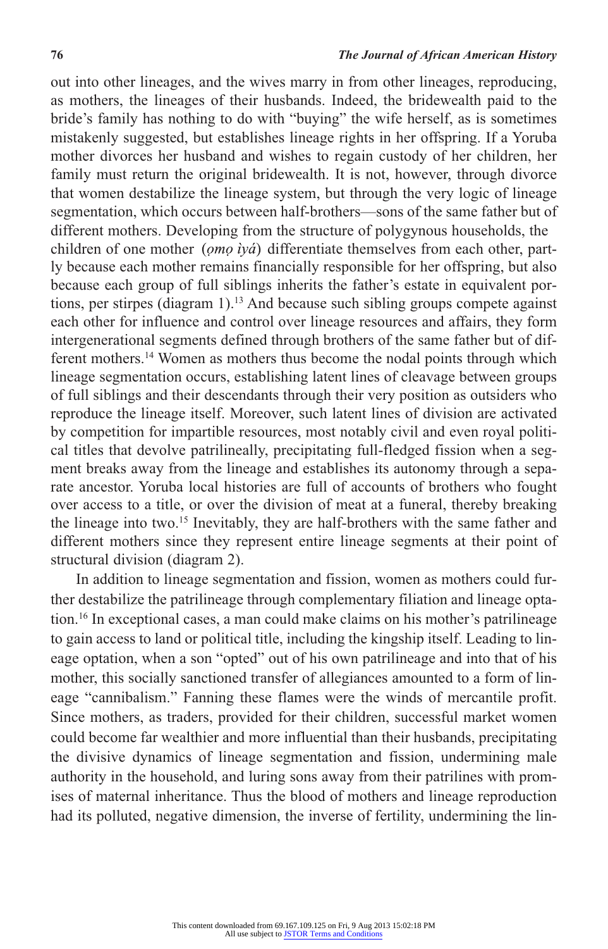out into other lineages, and the wives marry in from other lineages, reproducing, as mothers, the lineages of their husbands. Indeed, the bridewealth paid to the bride's family has nothing to do with "buying" the wife herself, as is sometimes mistakenly suggested, but establishes lineage rights in her offspring. If a Yoruba mother divorces her husband and wishes to regain custody of her children, her family must return the original bridewealth. It is not, however, through divorce that women destabilize the lineage system, but through the very logic of lineage segmentation, which occurs between half-brothers—sons of the same father but of different mothers. Developing from the structure of polygynous households, the children of one mother  $(omo\dot{v}\dot{a})$  differentiate themselves from each other, partly because each mother remains financially responsible for her offspring, but also because each group of full siblings inherits the father's estate in equivalent portions, per stirpes (diagram  $1$ ).<sup>13</sup> And because such sibling groups compete against each other for influence and control over lineage resources and affairs, they form intergenerational segments defined through brothers of the same father but of different mothers.14 Women as mothers thus become the nodal points through which lineage segmentation occurs, establishing latent lines of cleavage between groups of full siblings and their descendants through their very position as outsiders who reproduce the lineage itself. Moreover, such latent lines of division are activated by competition for impartible resources, most notably civil and even royal political titles that devolve patrilineally, precipitating full-fledged fission when a segment breaks away from the lineage and establishes its autonomy through a separate ancestor. Yoruba local histories are full of accounts of brothers who fought over access to a title, or over the division of meat at a funeral, thereby breaking the lineage into two.<sup>15</sup> Inevitably, they are half-brothers with the same father and different mothers since they represent entire lineage segments at their point of structural division (diagram 2).

In addition to lineage segmentation and fission, women as mothers could further destabilize the patrilineage through complementary filiation and lineage optation.16 In exceptional cases, a man could make claims on his mother's patrilineage to gain access to land or political title, including the kingship itself. Leading to lineage optation, when a son "opted" out of his own patrilineage and into that of his mother, this socially sanctioned transfer of allegiances amounted to a form of lineage "cannibalism." Fanning these flames were the winds of mercantile profit. Since mothers, as traders, provided for their children, successful market women could become far wealthier and more influential than their husbands, precipitating the divisive dynamics of lineage segmentation and fission, undermining male authority in the household, and luring sons away from their patrilines with promises of maternal inheritance. Thus the blood of mothers and lineage reproduction had its polluted, negative dimension, the inverse of fertility, undermining the lin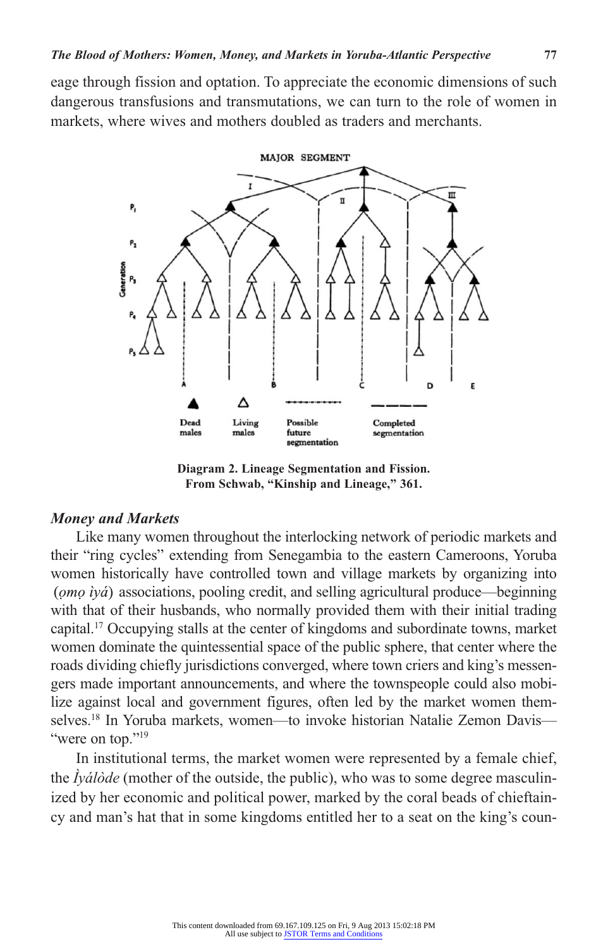eage through fission and optation. To appreciate the economic dimensions of such dangerous transfusions and transmutations, we can turn to the role of women in markets, where wives and mothers doubled as traders and merchants.



**Diagram 2. Lineage Segmentation and Fission. From Schwab, "Kinship and Lineage," 361.**

## *Money and Markets*

Like many women throughout the interlocking network of periodic markets and their "ring cycles" extending from Senegambia to the eastern Cameroons, Yoruba women historically have controlled town and village markets by organizing into  $(\rho m \dot{\rho} \dot{\rho})$  associations, pooling credit, and selling agricultural produce—beginning with that of their husbands, who normally provided them with their initial trading capital.17 Occupying stalls at the center of kingdoms and subordinate towns, market women dominate the quintessential space of the public sphere, that center where the roads dividing chiefly jurisdictions converged, where town criers and king's messengers made important announcements, and where the townspeople could also mobilize against local and government figures, often led by the market women themselves.<sup>18</sup> In Yoruba markets, women—to invoke historian Natalie Zemon Davis— "were on top."<sup>19</sup>

In institutional terms, the market women were represented by a female chief, the *Ìyálòde* (mother of the outside, the public), who was to some degree masculinized by her economic and political power, marked by the coral beads of chieftaincy and man's hat that in some kingdoms entitled her to a seat on the king's coun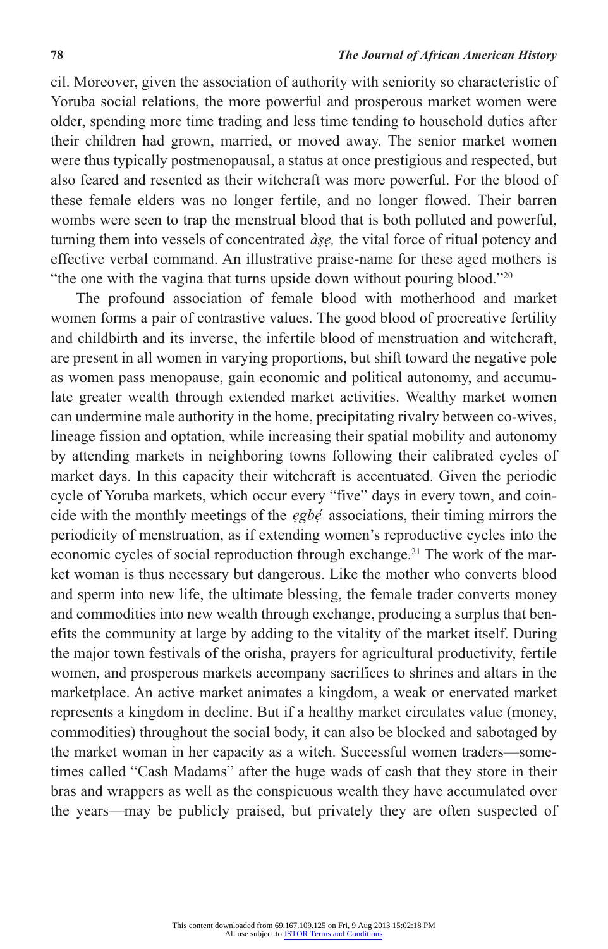cil. Moreover, given the association of authority with seniority so characteristic of Yoruba social relations, the more powerful and prosperous market women were older, spending more time trading and less time tending to household duties after their children had grown, married, or moved away. The senior market women were thus typically postmenopausal, a status at once prestigious and respected, but also feared and resented as their witchcraft was more powerful. For the blood of these female elders was no longer fertile, and no longer flowed. Their barren wombs were seen to trap the menstrual blood that is both polluted and powerful, turning them into vessels of concentrated  $\dot{\alpha}$ se, the vital force of ritual potency and effective verbal command. An illustrative praise-name for these aged mothers is "the one with the vagina that turns upside down without pouring blood."<sup>20</sup>

The profound association of female blood with motherhood and market women forms a pair of contrastive values. The good blood of procreative fertility and childbirth and its inverse, the infertile blood of menstruation and witchcraft, are present in all women in varying proportions, but shift toward the negative pole as women pass menopause, gain economic and political autonomy, and accumulate greater wealth through extended market activities. Wealthy market women can undermine male authority in the home, precipitating rivalry between co-wives, lineage fission and optation, while increasing their spatial mobility and autonomy by attending markets in neighboring towns following their calibrated cycles of market days. In this capacity their witchcraft is accentuated. Given the periodic cycle of Yoruba markets, which occur every "five" days in every town, and coincide with the monthly meetings of the  $egb\acute{e}$  associations, their timing mirrors the periodicity of menstruation, as if extending women's reproductive cycles into the economic cycles of social reproduction through exchange.<sup>21</sup> The work of the market woman is thus necessary but dangerous. Like the mother who converts blood and sperm into new life, the ultimate blessing, the female trader converts money and commodities into new wealth through exchange, producing a surplus that benefits the community at large by adding to the vitality of the market itself. During the major town festivals of the orisha, prayers for agricultural productivity, fertile women, and prosperous markets accompany sacrifices to shrines and altars in the marketplace. An active market animates a kingdom, a weak or enervated market represents a kingdom in decline. But if a healthy market circulates value (money, commodities) throughout the social body, it can also be blocked and sabotaged by the market woman in her capacity as a witch. Successful women traders—sometimes called "Cash Madams" after the huge wads of cash that they store in their bras and wrappers as well as the conspicuous wealth they have accumulated over the years—may be publicly praised, but privately they are often suspected of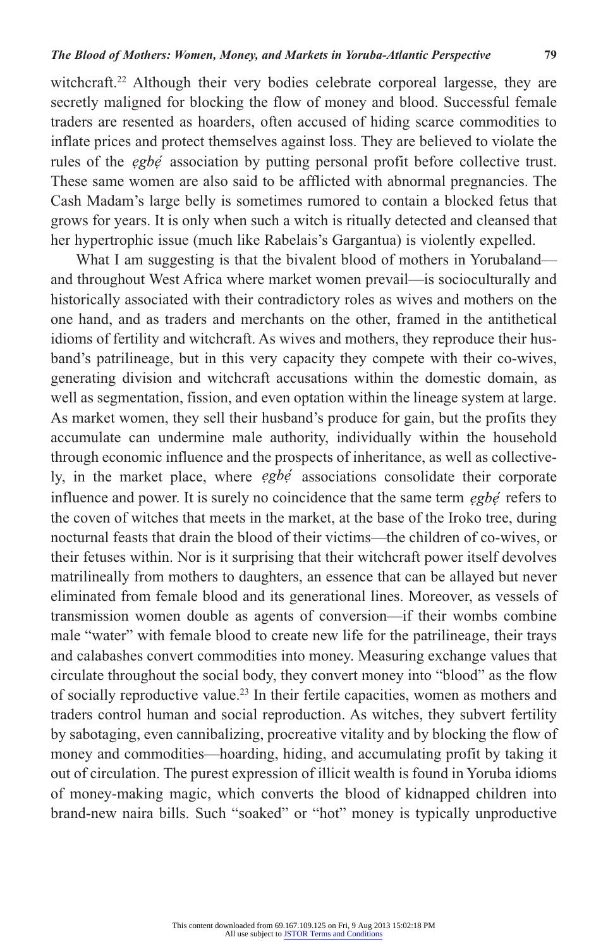witchcraft.<sup>22</sup> Although their very bodies celebrate corporeal largesse, they are secretly maligned for blocking the flow of money and blood. Successful female traders are resented as hoarders, often accused of hiding scarce commodities to inflate prices and protect themselves against loss. They are believed to violate the rules of the *egbé* association by putting personal profit before collective trust. These same women are also said to be afflicted with abnormal pregnancies. The Cash Madam's large belly is sometimes rumored to contain a blocked fetus that grows for years. It is only when such a witch is ritually detected and cleansed that her hypertrophic issue (much like Rabelais's Gargantua) is violently expelled.

What I am suggesting is that the bivalent blood of mothers in Yorubaland and throughout West Africa where market women prevail—is socioculturally and historically associated with their contradictory roles as wives and mothers on the one hand, and as traders and merchants on the other, framed in the antithetical idioms of fertility and witchcraft. As wives and mothers, they reproduce their husband's patrilineage, but in this very capacity they compete with their co-wives, generating division and witchcraft accusations within the domestic domain, as well as segmentation, fission, and even optation within the lineage system at large. As market women, they sell their husband's produce for gain, but the profits they accumulate can undermine male authority, individually within the household through economic influence and the prospects of inheritance, as well as collectively, in the market place, where  $egb\acute{e}$  associations consolidate their corporate influence and power. It is surely no coincidence that the same term  $e^{gb\acute{e}}$  refers to the coven of witches that meets in the market, at the base of the Iroko tree, during nocturnal feasts that drain the blood of their victims—the children of co-wives, or their fetuses within. Nor is it surprising that their witchcraft power itself devolves matrilineally from mothers to daughters, an essence that can be allayed but never eliminated from female blood and its generational lines. Moreover, as vessels of transmission women double as agents of conversion—if their wombs combine male "water" with female blood to create new life for the patrilineage, their trays and calabashes convert commodities into money. Measuring exchange values that circulate throughout the social body, they convert money into "blood" as the flow of socially reproductive value.<sup>23</sup> In their fertile capacities, women as mothers and traders control human and social reproduction. As witches, they subvert fertility by sabotaging, even cannibalizing, procreative vitality and by blocking the flow of money and commodities—hoarding, hiding, and accumulating profit by taking it out of circulation. The purest expression of illicit wealth is found in Yoruba idioms of money-making magic, which converts the blood of kidnapped children into brand-new naira bills. Such "soaked" or "hot" money is typically unproductive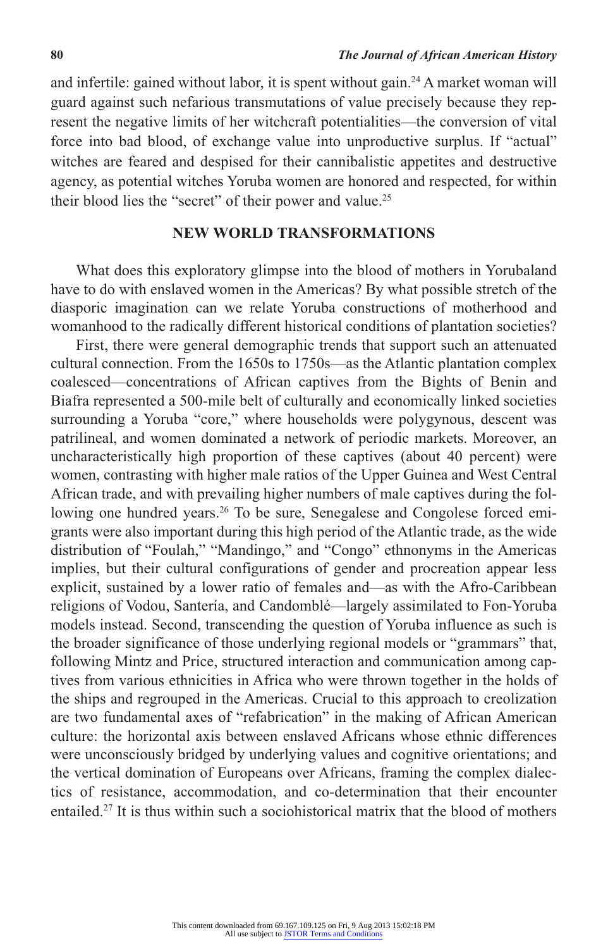and infertile: gained without labor, it is spent without gain.<sup>24</sup> A market woman will guard against such nefarious transmutations of value precisely because they represent the negative limits of her witchcraft potentialities—the conversion of vital force into bad blood, of exchange value into unproductive surplus. If "actual" witches are feared and despised for their cannibalistic appetites and destructive agency, as potential witches Yoruba women are honored and respected, for within their blood lies the "secret" of their power and value.<sup>25</sup>

## **NEW WORLD TRANSFORMATIONS**

What does this exploratory glimpse into the blood of mothers in Yorubaland have to do with enslaved women in the Americas? By what possible stretch of the diasporic imagination can we relate Yoruba constructions of motherhood and womanhood to the radically different historical conditions of plantation societies?

First, there were general demographic trends that support such an attenuated cultural connection. From the 1650s to 1750s—as the Atlantic plantation complex coalesced—concentrations of African captives from the Bights of Benin and Biafra represented a 500-mile belt of culturally and economically linked societies surrounding a Yoruba "core," where households were polygynous, descent was patrilineal, and women dominated a network of periodic markets. Moreover, an uncharacteristically high proportion of these captives (about 40 percent) were women, contrasting with higher male ratios of the Upper Guinea and West Central African trade, and with prevailing higher numbers of male captives during the following one hundred years.<sup>26</sup> To be sure, Senegalese and Congolese forced emigrants were also important during this high period of the Atlantic trade, as the wide distribution of "Foulah," "Mandingo," and "Congo" ethnonyms in the Americas implies, but their cultural configurations of gender and procreation appear less explicit, sustained by a lower ratio of females and—as with the Afro-Caribbean religions of Vodou, Santería, and Candomblé—largely assimilated to Fon-Yoruba models instead. Second, transcending the question of Yoruba influence as such is the broader significance of those underlying regional models or "grammars" that, following Mintz and Price, structured interaction and communication among captives from various ethnicities in Africa who were thrown together in the holds of the ships and regrouped in the Americas. Crucial to this approach to creolization are two fundamental axes of "refabrication" in the making of African American culture: the horizontal axis between enslaved Africans whose ethnic differences were unconsciously bridged by underlying values and cognitive orientations; and the vertical domination of Europeans over Africans, framing the complex dialectics of resistance, accommodation, and co-determination that their encounter entailed.27 It is thus within such a sociohistorical matrix that the blood of mothers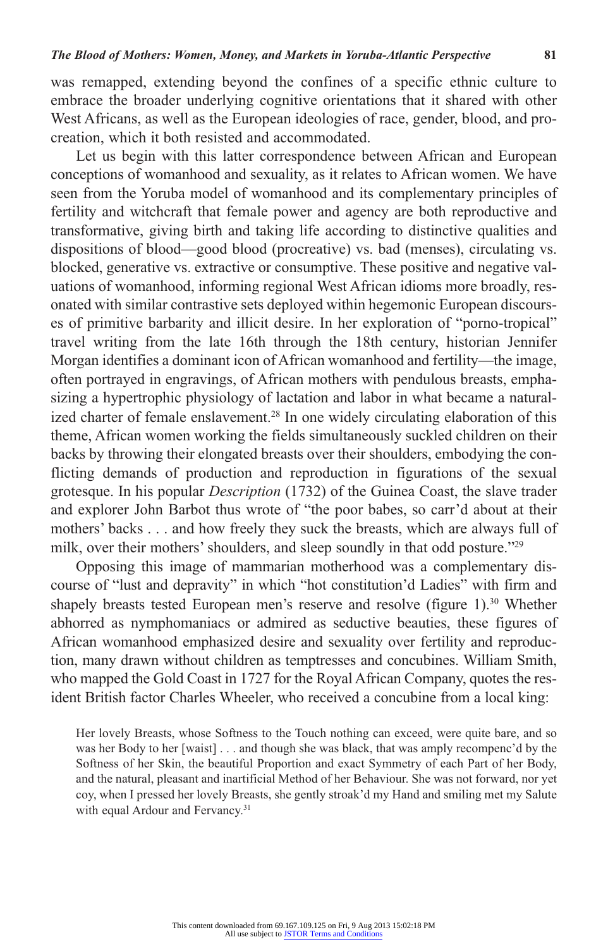was remapped, extending beyond the confines of a specific ethnic culture to embrace the broader underlying cognitive orientations that it shared with other West Africans, as well as the European ideologies of race, gender, blood, and procreation, which it both resisted and accommodated.

Let us begin with this latter correspondence between African and European conceptions of womanhood and sexuality, as it relates to African women. We have seen from the Yoruba model of womanhood and its complementary principles of fertility and witchcraft that female power and agency are both reproductive and transformative, giving birth and taking life according to distinctive qualities and dispositions of blood—good blood (procreative) vs. bad (menses), circulating vs. blocked, generative vs. extractive or consumptive. These positive and negative valuations of womanhood, informing regional West African idioms more broadly, resonated with similar contrastive sets deployed within hegemonic European discourses of primitive barbarity and illicit desire. In her exploration of "porno-tropical" travel writing from the late 16th through the 18th century, historian Jennifer Morgan identifies a dominant icon of African womanhood and fertility—the image, often portrayed in engravings, of African mothers with pendulous breasts, emphasizing a hypertrophic physiology of lactation and labor in what became a naturalized charter of female enslavement.<sup>28</sup> In one widely circulating elaboration of this theme, African women working the fields simultaneously suckled children on their backs by throwing their elongated breasts over their shoulders, embodying the conflicting demands of production and reproduction in figurations of the sexual grotesque. In his popular *Description* (1732) of the Guinea Coast, the slave trader and explorer John Barbot thus wrote of "the poor babes, so carr'd about at their mothers' backs... and how freely they suck the breasts, which are always full of milk, over their mothers' shoulders, and sleep soundly in that odd posture."<sup>29</sup>

Opposing this image of mammarian motherhood was a complementary discourse of "lust and depravity" in which "hot constitution'd Ladies" with firm and shapely breasts tested European men's reserve and resolve (figure 1).<sup>30</sup> Whether abhorred as nymphomaniacs or admired as seductive beauties, these figures of African womanhood emphasized desire and sexuality over fertility and reproduction, many drawn without children as temptresses and concubines. William Smith, who mapped the Gold Coast in 1727 for the Royal African Company, quotes the resident British factor Charles Wheeler, who received a concubine from a local king:

Her lovely Breasts, whose Softness to the Touch nothing can exceed, were quite bare, and so was her Body to her [waist]... and though she was black, that was amply recompenc'd by the Softness of her Skin, the beautiful Proportion and exact Symmetry of each Part of her Body, and the natural, pleasant and inartificial Method of her Behaviour. She was not forward, nor yet coy, when I pressed her lovely Breasts, she gently stroak'd my Hand and smiling met my Salute with equal Ardour and Fervancy.<sup>31</sup>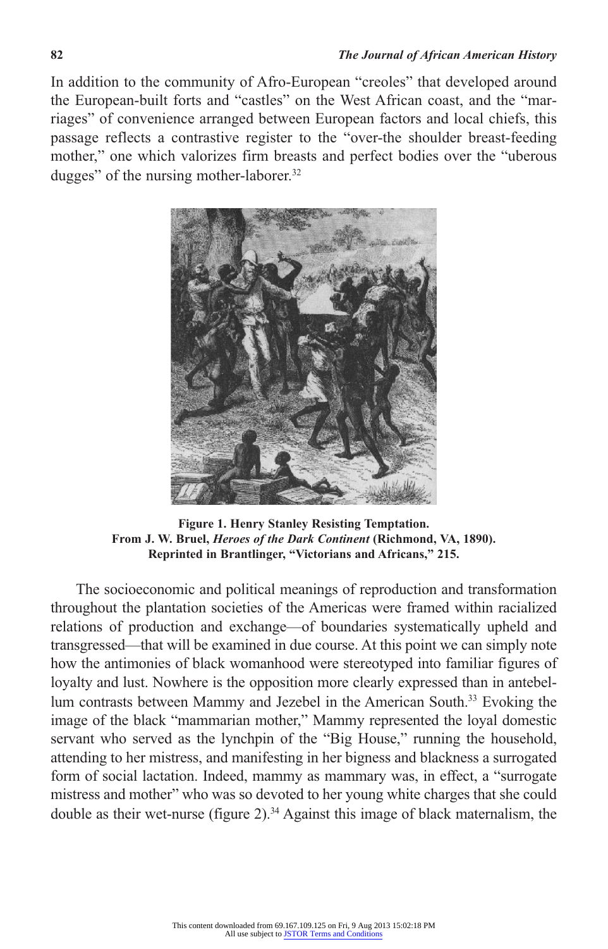In addition to the community of Afro-European "creoles" that developed around the European-built forts and "castles" on the West African coast, and the "marriages" of convenience arranged between European factors and local chiefs, this passage reflects a contrastive register to the "over-the shoulder breast-feeding mother," one which valorizes firm breasts and perfect bodies over the "uberous dugges" of the nursing mother-laborer.<sup>32</sup>



**Figure 1. Henry Stanley Resisting Temptation. From J. W. Bruel,** *Heroes of the Dark Continent* **(Richmond, VA, 1890). Reprinted in Brantlinger, "Victorians and Africans," 215.**

The socioeconomic and political meanings of reproduction and transformation throughout the plantation societies of the Americas were framed within racialized relations of production and exchange—of boundaries systematically upheld and transgressed—that will be examined in due course. At this point we can simply note how the antimonies of black womanhood were stereotyped into familiar figures of loyalty and lust. Nowhere is the opposition more clearly expressed than in antebellum contrasts between Mammy and Jezebel in the American South.<sup>33</sup> Evoking the image of the black "mammarian mother," Mammy represented the loyal domestic servant who served as the lynchpin of the "Big House," running the household, attending to her mistress, and manifesting in her bigness and blackness a surrogated form of social lactation. Indeed, mammy as mammary was, in effect, a "surrogate mistress and mother" who was so devoted to her young white charges that she could double as their wet-nurse (figure 2).<sup>34</sup> Against this image of black maternalism, the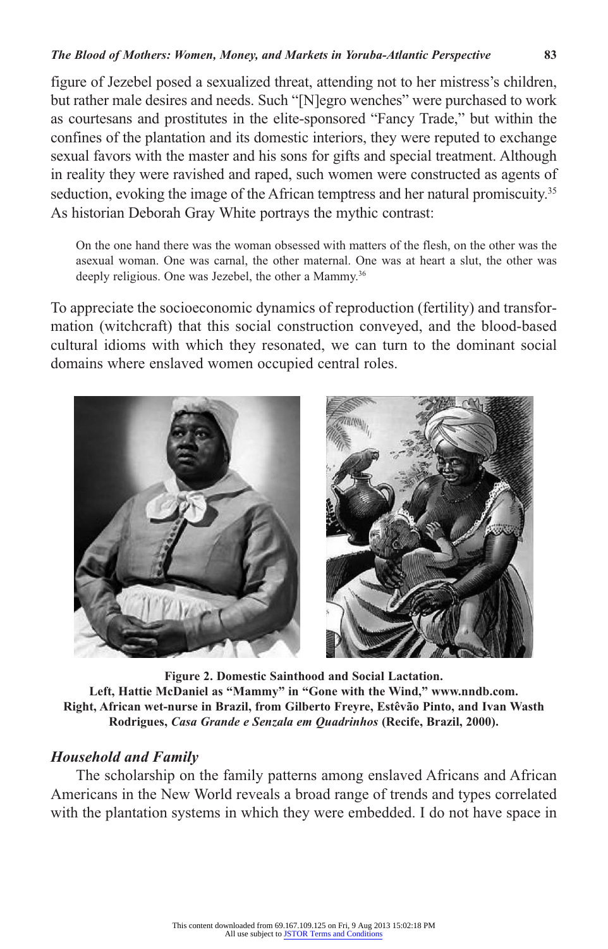figure of Jezebel posed a sexualized threat, attending not to her mistress's children, but rather male desires and needs. Such "[N]egro wenches" were purchased to work as courtesans and prostitutes in the elite-sponsored "Fancy Trade," but within the confines of the plantation and its domestic interiors, they were reputed to exchange sexual favors with the master and his sons for gifts and special treatment. Although in reality they were ravished and raped, such women were constructed as agents of seduction, evoking the image of the African temptress and her natural promiscuity.<sup>35</sup> As historian Deborah Gray White portrays the mythic contrast:

On the one hand there was the woman obsessed with matters of the flesh, on the other was the asexual woman. One was carnal, the other maternal. One was at heart a slut, the other was deeply religious. One was Jezebel, the other a Mammy.<sup>36</sup>

To appreciate the socioeconomic dynamics of reproduction (fertility) and transformation (witchcraft) that this social construction conveyed, and the blood-based cultural idioms with which they resonated, we can turn to the dominant social domains where enslaved women occupied central roles.



**Figure 2. Domestic Sainthood and Social Lactation. Left, Hattie McDaniel as "Mammy" in "Gone with the Wind," www.nndb.com. Right, African wet-nurse in Brazil, from Gilberto Freyre, Estêvão Pinto, and Ivan Wasth Rodrigues,** *Casa Grande e Senzala em Quadrinhos* **(Recife, Brazil, 2000).**

# *Household and Family*

The scholarship on the family patterns among enslaved Africans and African Americans in the New World reveals a broad range of trends and types correlated with the plantation systems in which they were embedded. I do not have space in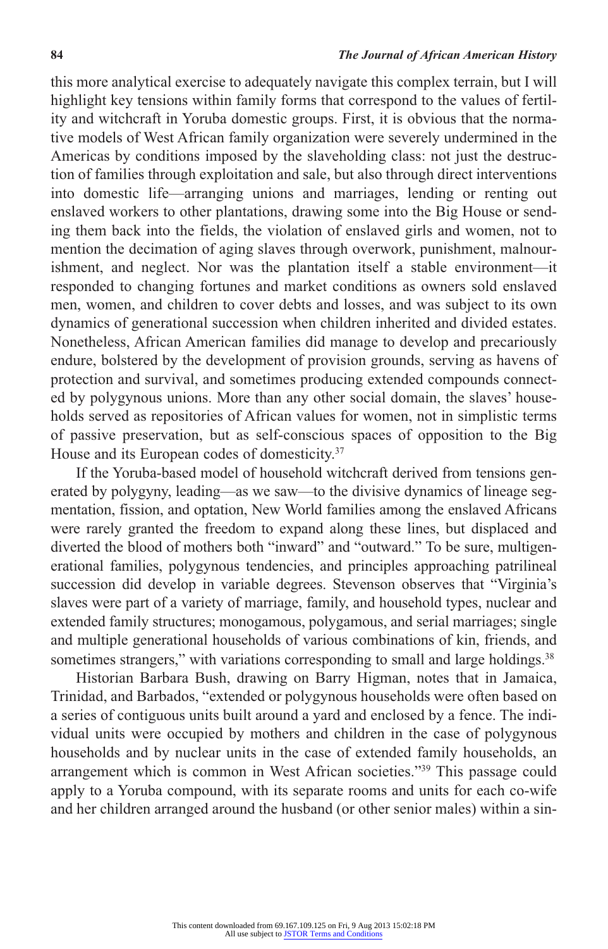this more analytical exercise to adequately navigate this complex terrain, but I will highlight key tensions within family forms that correspond to the values of fertility and witchcraft in Yoruba domestic groups. First, it is obvious that the normative models of West African family organization were severely undermined in the Americas by conditions imposed by the slaveholding class: not just the destruction of families through exploitation and sale, but also through direct interventions into domestic life—arranging unions and marriages, lending or renting out enslaved workers to other plantations, drawing some into the Big House or sending them back into the fields, the violation of enslaved girls and women, not to mention the decimation of aging slaves through overwork, punishment, malnourishment, and neglect. Nor was the plantation itself a stable environment—it responded to changing fortunes and market conditions as owners sold enslaved men, women, and children to cover debts and losses, and was subject to its own dynamics of generational succession when children inherited and divided estates. Nonetheless, African American families did manage to develop and precariously endure, bolstered by the development of provision grounds, serving as havens of protection and survival, and sometimes producing extended compounds connected by polygynous unions. More than any other social domain, the slaves' households served as repositories of African values for women, not in simplistic terms of passive preservation, but as self-conscious spaces of opposition to the Big House and its European codes of domesticity.37

If the Yoruba-based model of household witchcraft derived from tensions generated by polygyny, leading—as we saw—to the divisive dynamics of lineage segmentation, fission, and optation, New World families among the enslaved Africans were rarely granted the freedom to expand along these lines, but displaced and diverted the blood of mothers both "inward" and "outward." To be sure, multigenerational families, polygynous tendencies, and principles approaching patrilineal succession did develop in variable degrees. Stevenson observes that "Virginia's slaves were part of a variety of marriage, family, and household types, nuclear and extended family structures; monogamous, polygamous, and serial marriages; single and multiple generational households of various combinations of kin, friends, and sometimes strangers," with variations corresponding to small and large holdings.<sup>38</sup>

Historian Barbara Bush, drawing on Barry Higman, notes that in Jamaica, Trinidad, and Barbados, "extended or polygynous households were often based on a series of contiguous units built around a yard and enclosed by a fence. The individual units were occupied by mothers and children in the case of polygynous households and by nuclear units in the case of extended family households, an arrangement which is common in West African societies."39 This passage could apply to a Yoruba compound, with its separate rooms and units for each co-wife and her children arranged around the husband (or other senior males) within a sin-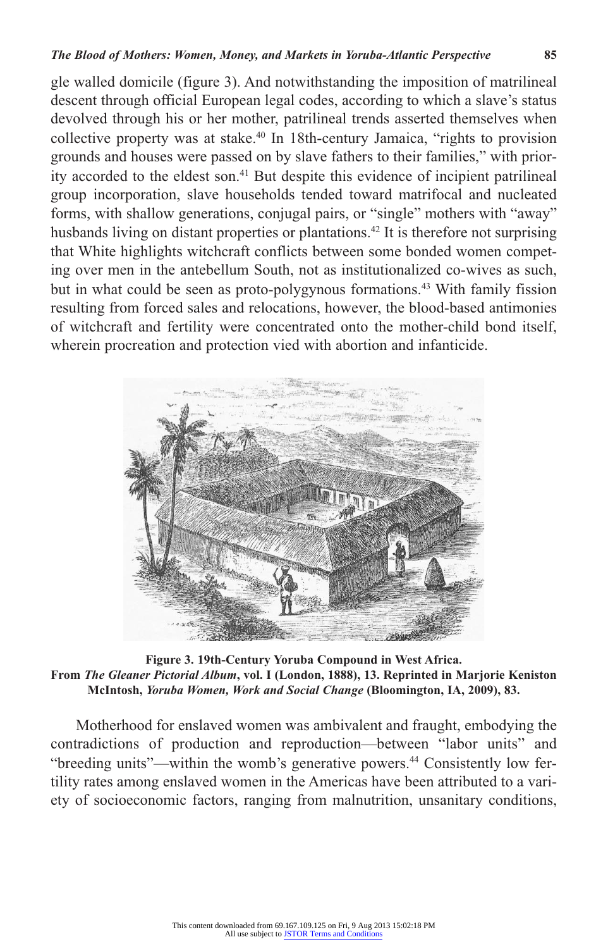gle walled domicile (figure 3). And notwithstanding the imposition of matrilineal descent through official European legal codes, according to which a slave's status devolved through his or her mother, patrilineal trends asserted themselves when collective property was at stake.<sup>40</sup> In 18th-century Jamaica, "rights to provision grounds and houses were passed on by slave fathers to their families," with priority accorded to the eldest son.<sup>41</sup> But despite this evidence of incipient patrilineal group incorporation, slave households tended toward matrifocal and nucleated forms, with shallow generations, conjugal pairs, or "single" mothers with "away" husbands living on distant properties or plantations.<sup>42</sup> It is therefore not surprising that White highlights witchcraft conflicts between some bonded women competing over men in the antebellum South, not as institutionalized co-wives as such, but in what could be seen as proto-polygynous formations.43 With family fission resulting from forced sales and relocations, however, the blood-based antimonies of witchcraft and fertility were concentrated onto the mother-child bond itself, wherein procreation and protection vied with abortion and infanticide.



**Figure 3. 19th-Century Yoruba Compound in West Africa. From** *The Gleaner Pictorial Album***, vol. I (London, 1888), 13. Reprinted in Marjorie Keniston McIntosh,** *Yoruba Women, Work and Social Change* **(Bloomington, IA, 2009), 83.**

Motherhood for enslaved women was ambivalent and fraught, embodying the contradictions of production and reproduction—between "labor units" and "breeding units"—within the womb's generative powers.44 Consistently low fertility rates among enslaved women in the Americas have been attributed to a variety of socioeconomic factors, ranging from malnutrition, unsanitary conditions,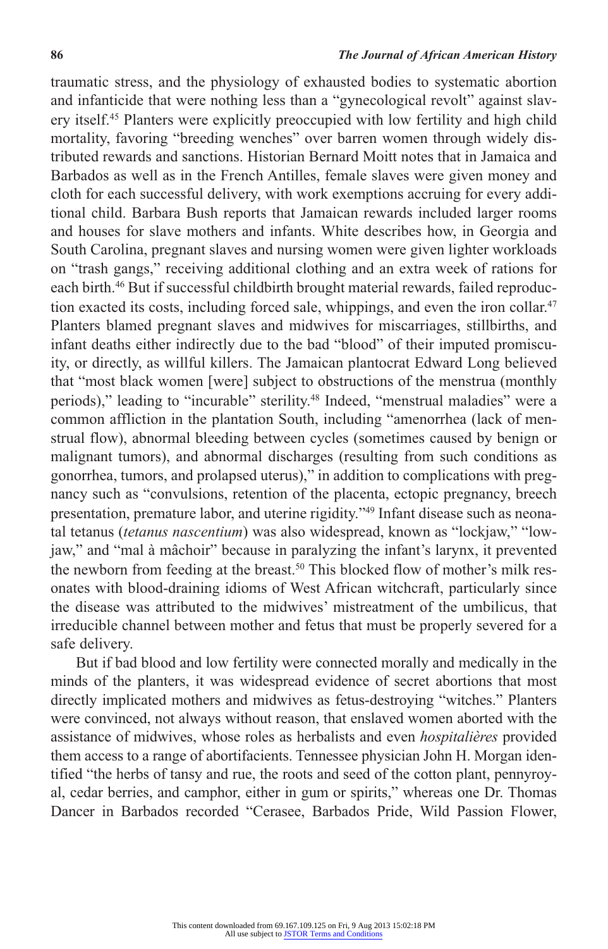traumatic stress, and the physiology of exhausted bodies to systematic abortion and infanticide that were nothing less than a "gynecological revolt" against slavery itself.45 Planters were explicitly preoccupied with low fertility and high child mortality, favoring "breeding wenches" over barren women through widely distributed rewards and sanctions. Historian Bernard Moitt notes that in Jamaica and Barbados as well as in the French Antilles, female slaves were given money and cloth for each successful delivery, with work exemptions accruing for every additional child. Barbara Bush reports that Jamaican rewards included larger rooms and houses for slave mothers and infants. White describes how, in Georgia and South Carolina, pregnant slaves and nursing women were given lighter workloads on "trash gangs," receiving additional clothing and an extra week of rations for each birth.<sup>46</sup> But if successful childbirth brought material rewards, failed reproduction exacted its costs, including forced sale, whippings, and even the iron collar.47 Planters blamed pregnant slaves and midwives for miscarriages, stillbirths, and infant deaths either indirectly due to the bad "blood" of their imputed promiscuity, or directly, as willful killers. The Jamaican plantocrat Edward Long believed that "most black women [were] subject to obstructions of the menstrua (monthly periods)," leading to "incurable" sterility.48 Indeed, "menstrual maladies" were a common affliction in the plantation South, including "amenorrhea (lack of menstrual flow), abnormal bleeding between cycles (sometimes caused by benign or malignant tumors), and abnormal discharges (resulting from such conditions as gonorrhea, tumors, and prolapsed uterus)," in addition to complications with pregnancy such as "convulsions, retention of the placenta, ectopic pregnancy, breech presentation, premature labor, and uterine rigidity."49 Infant disease such as neonatal tetanus (*tetanus nascentium*) was also widespread, known as "lockjaw," "lowjaw," and "mal à mâchoir" because in paralyzing the infant's larynx, it prevented the newborn from feeding at the breast.<sup>50</sup> This blocked flow of mother's milk resonates with blood-draining idioms of West African witchcraft, particularly since the disease was attributed to the midwives' mistreatment of the umbilicus, that irreducible channel between mother and fetus that must be properly severed for a safe delivery.

But if bad blood and low fertility were connected morally and medically in the minds of the planters, it was widespread evidence of secret abortions that most directly implicated mothers and midwives as fetus-destroying "witches." Planters were convinced, not always without reason, that enslaved women aborted with the assistance of midwives, whose roles as herbalists and even *hospitalières* provided them access to a range of abortifacients. Tennessee physician John H. Morgan identified "the herbs of tansy and rue, the roots and seed of the cotton plant, pennyroyal, cedar berries, and camphor, either in gum or spirits," whereas one Dr. Thomas Dancer in Barbados recorded "Cerasee, Barbados Pride, Wild Passion Flower,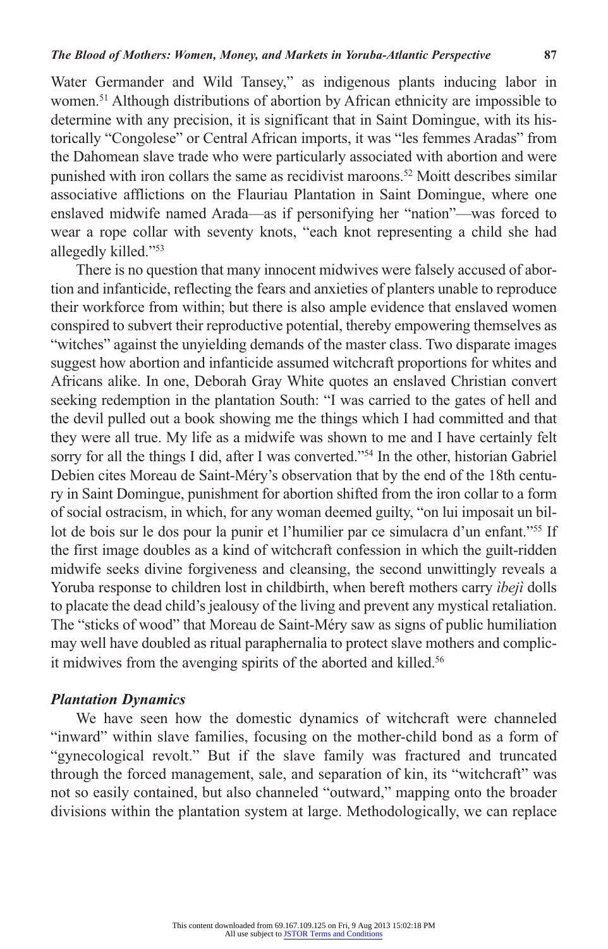Water Germander and Wild Tansey," as indigenous plants inducing labor in women.<sup>51</sup> Although distributions of abortion by African ethnicity are impossible to determine with any precision, it is significant that in Saint Domingue, with its historically "Congolese" or Central African imports, it was "les femmes Aradas" from the Dahomean slave trade who were particularly associated with abortion and were punished with iron collars the same as recidivist maroons.<sup>52</sup> Moitt describes similar associative afflictions on the Flauriau Plantation in Saint Domingue, where one enslaved midwife named Arada—as if personifying her "nation"—was forced to wear a rope collar with seventy knots, "each knot representing a child she had allegedly killed."53

There is no question that many innocent midwives were falsely accused of abortion and infanticide, reflecting the fears and anxieties of planters unable to reproduce their workforce from within; but there is also ample evidence that enslaved women conspired to subvert their reproductive potential, thereby empowering themselves as "witches" against the unyielding demands of the master class. Two disparate images suggest how abortion and infanticide assumed witchcraft proportions for whites and Africans alike. In one, Deborah Gray White quotes an enslaved Christian convert seeking redemption in the plantation South: "I was carried to the gates of hell and the devil pulled out a book showing me the things which I had committed and that they were all true. My life as a midwife was shown to me and I have certainly felt sorry for all the things I did, after I was converted."<sup>54</sup> In the other, historian Gabriel Debien cites Moreau de Saint-Méry's observation that by the end of the 18th century in Saint Domingue, punishment for abortion shifted from the iron collar to a form of social ostracism, in which, for any woman deemed guilty, "on lui imposait un billot de bois sur le dos pour la punir et l'humilier par ce simulacra d'un enfant."55 If the first image doubles as a kind of witchcraft confession in which the guilt-ridden midwife seeks divine forgiveness and cleansing, the second unwittingly reveals a Yoruba response to children lost in childbirth, when bereft mothers carry *ìbejì* dolls to placate the dead child's jealousy of the living and prevent any mystical retaliation. The "sticks of wood" that Moreau de Saint-Méry saw as signs of public humiliation may well have doubled as ritual paraphernalia to protect slave mothers and complicit midwives from the avenging spirits of the aborted and killed.<sup>56</sup>

## *Plantation Dynamics*

We have seen how the domestic dynamics of witchcraft were channeled "inward" within slave families, focusing on the mother-child bond as a form of "gynecological revolt." But if the slave family was fractured and truncated through the forced management, sale, and separation of kin, its "witchcraft" was not so easily contained, but also channeled "outward," mapping onto the broader divisions within the plantation system at large. Methodologically, we can replace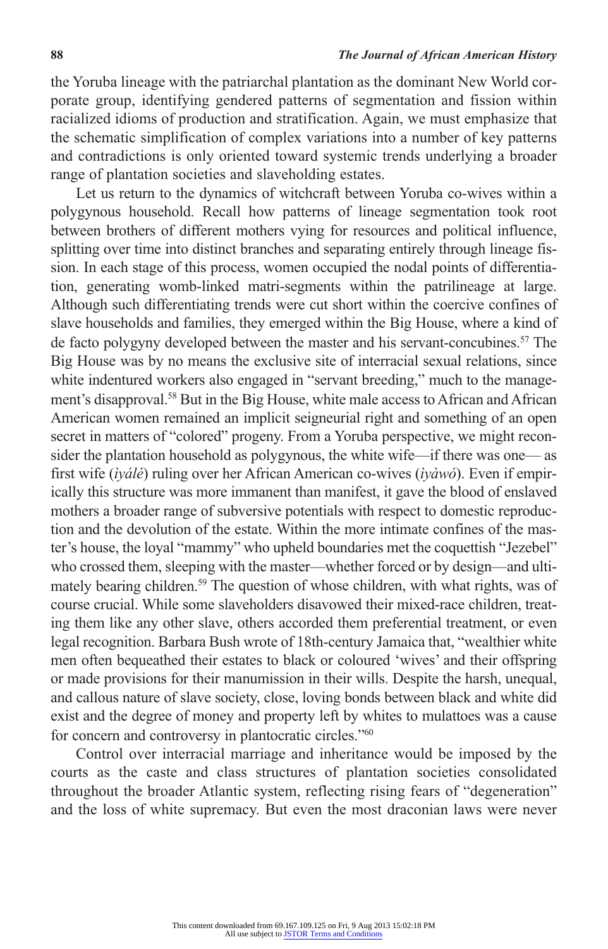the Yoruba lineage with the patriarchal plantation as the dominant New World corporate group, identifying gendered patterns of segmentation and fission within racialized idioms of production and stratification. Again, we must emphasize that the schematic simplification of complex variations into a number of key patterns and contradictions is only oriented toward systemic trends underlying a broader range of plantation societies and slaveholding estates.

Let us return to the dynamics of witchcraft between Yoruba co-wives within a polygynous household. Recall how patterns of lineage segmentation took root between brothers of different mothers vying for resources and political influence, splitting over time into distinct branches and separating entirely through lineage fission. In each stage of this process, women occupied the nodal points of differentiation, generating womb-linked matri-segments within the patrilineage at large. Although such differentiating trends were cut short within the coercive confines of slave households and families, they emerged within the Big House, where a kind of de facto polygyny developed between the master and his servant-concubines.<sup>57</sup> The Big House was by no means the exclusive site of interracial sexual relations, since white indentured workers also engaged in "servant breeding," much to the management's disapproval.<sup>58</sup> But in the Big House, white male access to African and African American women remained an implicit seigneurial right and something of an open secret in matters of "colored" progeny. From a Yoruba perspective, we might reconsider the plantation household as polygynous, the white wife—if there was one— as first wife (*ìyálé*) ruling over her African American co-wives (*ìyàwó*). Even if empirically this structure was more immanent than manifest, it gave the blood of enslaved mothers a broader range of subversive potentials with respect to domestic reproduction and the devolution of the estate. Within the more intimate confines of the master's house, the loyal "mammy" who upheld boundaries met the coquettish "Jezebel" who crossed them, sleeping with the master—whether forced or by design—and ultimately bearing children.<sup>59</sup> The question of whose children, with what rights, was of course crucial. While some slaveholders disavowed their mixed-race children, treating them like any other slave, others accorded them preferential treatment, or even legal recognition. Barbara Bush wrote of 18th-century Jamaica that, "wealthier white men often bequeathed their estates to black or coloured 'wives' and their offspring or made provisions for their manumission in their wills. Despite the harsh, unequal, and callous nature of slave society, close, loving bonds between black and white did exist and the degree of money and property left by whites to mulattoes was a cause for concern and controversy in plantocratic circles."60

Control over interracial marriage and inheritance would be imposed by the courts as the caste and class structures of plantation societies consolidated throughout the broader Atlantic system, reflecting rising fears of "degeneration" and the loss of white supremacy. But even the most draconian laws were never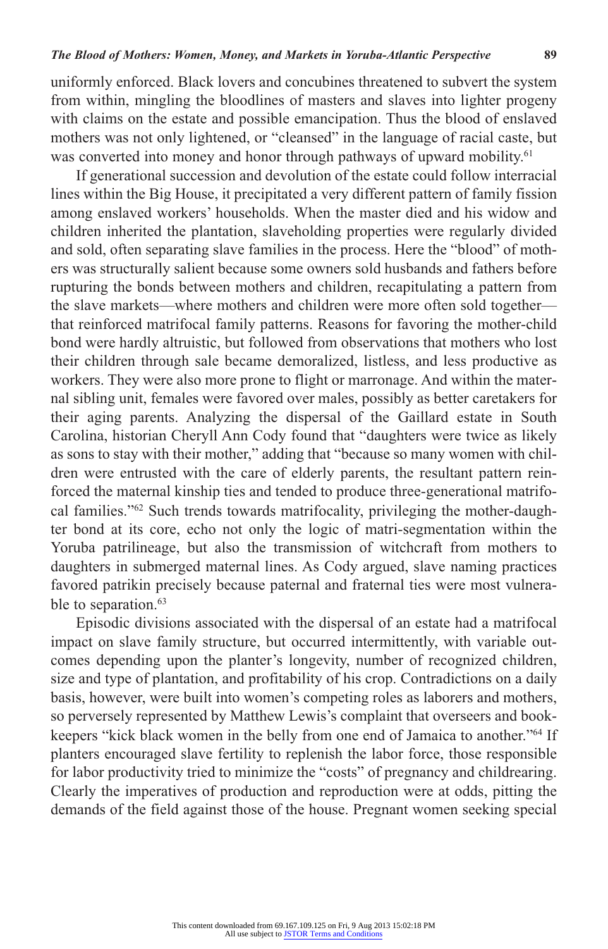uniformly enforced. Black lovers and concubines threatened to subvert the system from within, mingling the bloodlines of masters and slaves into lighter progeny with claims on the estate and possible emancipation. Thus the blood of enslaved mothers was not only lightened, or "cleansed" in the language of racial caste, but was converted into money and honor through pathways of upward mobility.<sup>61</sup>

If generational succession and devolution of the estate could follow interracial lines within the Big House, it precipitated a very different pattern of family fission among enslaved workers' households. When the master died and his widow and children inherited the plantation, slaveholding properties were regularly divided and sold, often separating slave families in the process. Here the "blood" of mothers was structurally salient because some owners sold husbands and fathers before rupturing the bonds between mothers and children, recapitulating a pattern from the slave markets—where mothers and children were more often sold together that reinforced matrifocal family patterns. Reasons for favoring the mother-child bond were hardly altruistic, but followed from observations that mothers who lost their children through sale became demoralized, listless, and less productive as workers. They were also more prone to flight or marronage. And within the maternal sibling unit, females were favored over males, possibly as better caretakers for their aging parents. Analyzing the dispersal of the Gaillard estate in South Carolina, historian Cheryll Ann Cody found that "daughters were twice as likely as sons to stay with their mother," adding that "because so many women with children were entrusted with the care of elderly parents, the resultant pattern reinforced the maternal kinship ties and tended to produce three-generational matrifocal families."62 Such trends towards matrifocality, privileging the mother-daughter bond at its core, echo not only the logic of matri-segmentation within the Yoruba patrilineage, but also the transmission of witchcraft from mothers to daughters in submerged maternal lines. As Cody argued, slave naming practices favored patrikin precisely because paternal and fraternal ties were most vulnerable to separation.<sup>63</sup>

Episodic divisions associated with the dispersal of an estate had a matrifocal impact on slave family structure, but occurred intermittently, with variable outcomes depending upon the planter's longevity, number of recognized children, size and type of plantation, and profitability of his crop. Contradictions on a daily basis, however, were built into women's competing roles as laborers and mothers, so perversely represented by Matthew Lewis's complaint that overseers and bookkeepers "kick black women in the belly from one end of Jamaica to another."64 If planters encouraged slave fertility to replenish the labor force, those responsible for labor productivity tried to minimize the "costs" of pregnancy and childrearing. Clearly the imperatives of production and reproduction were at odds, pitting the demands of the field against those of the house. Pregnant women seeking special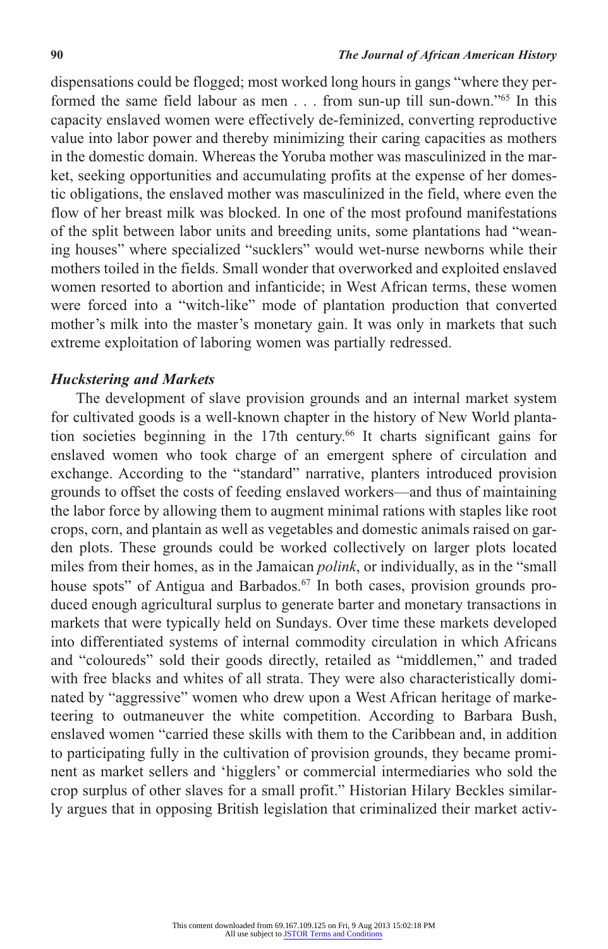dispensations could be flogged; most worked long hours in gangs "where they performed the same field labour as men... from sun-up till sun-down."65 In this capacity enslaved women were effectively de-feminized, converting reproductive value into labor power and thereby minimizing their caring capacities as mothers in the domestic domain. Whereas the Yoruba mother was masculinized in the market, seeking opportunities and accumulating profits at the expense of her domestic obligations, the enslaved mother was masculinized in the field, where even the flow of her breast milk was blocked. In one of the most profound manifestations of the split between labor units and breeding units, some plantations had "weaning houses" where specialized "sucklers" would wet-nurse newborns while their mothers toiled in the fields. Small wonder that overworked and exploited enslaved women resorted to abortion and infanticide; in West African terms, these women were forced into a "witch-like" mode of plantation production that converted mother's milk into the master's monetary gain. It was only in markets that such extreme exploitation of laboring women was partially redressed.

## *Huckstering and Markets*

The development of slave provision grounds and an internal market system for cultivated goods is a well-known chapter in the history of New World plantation societies beginning in the 17th century.66 It charts significant gains for enslaved women who took charge of an emergent sphere of circulation and exchange. According to the "standard" narrative, planters introduced provision grounds to offset the costs of feeding enslaved workers—and thus of maintaining the labor force by allowing them to augment minimal rations with staples like root crops, corn, and plantain as well as vegetables and domestic animals raised on garden plots. These grounds could be worked collectively on larger plots located miles from their homes, as in the Jamaican *polink*, or individually, as in the "small house spots" of Antigua and Barbados.<sup>67</sup> In both cases, provision grounds produced enough agricultural surplus to generate barter and monetary transactions in markets that were typically held on Sundays. Over time these markets developed into differentiated systems of internal commodity circulation in which Africans and "coloureds" sold their goods directly, retailed as "middlemen," and traded with free blacks and whites of all strata. They were also characteristically dominated by "aggressive" women who drew upon a West African heritage of marketeering to outmaneuver the white competition. According to Barbara Bush, enslaved women "carried these skills with them to the Caribbean and, in addition to participating fully in the cultivation of provision grounds, they became prominent as market sellers and 'higglers' or commercial intermediaries who sold the crop surplus of other slaves for a small profit." Historian Hilary Beckles similarly argues that in opposing British legislation that criminalized their market activ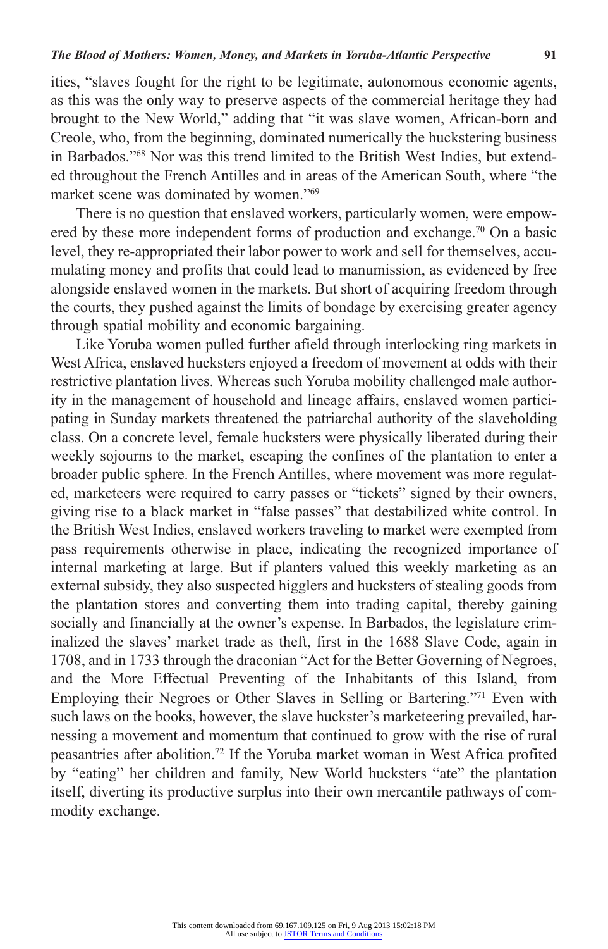ities, "slaves fought for the right to be legitimate, autonomous economic agents, as this was the only way to preserve aspects of the commercial heritage they had brought to the New World," adding that "it was slave women, African-born and Creole, who, from the beginning, dominated numerically the huckstering business in Barbados."68 Nor was this trend limited to the British West Indies, but extended throughout the French Antilles and in areas of the American South, where "the market scene was dominated by women."69

There is no question that enslaved workers, particularly women, were empowered by these more independent forms of production and exchange.<sup>70</sup> On a basic level, they re-appropriated their labor power to work and sell for themselves, accumulating money and profits that could lead to manumission, as evidenced by free alongside enslaved women in the markets. But short of acquiring freedom through the courts, they pushed against the limits of bondage by exercising greater agency through spatial mobility and economic bargaining.

Like Yoruba women pulled further afield through interlocking ring markets in West Africa, enslaved hucksters enjoyed a freedom of movement at odds with their restrictive plantation lives. Whereas such Yoruba mobility challenged male authority in the management of household and lineage affairs, enslaved women participating in Sunday markets threatened the patriarchal authority of the slaveholding class. On a concrete level, female hucksters were physically liberated during their weekly sojourns to the market, escaping the confines of the plantation to enter a broader public sphere. In the French Antilles, where movement was more regulated, marketeers were required to carry passes or "tickets" signed by their owners, giving rise to a black market in "false passes" that destabilized white control. In the British West Indies, enslaved workers traveling to market were exempted from pass requirements otherwise in place, indicating the recognized importance of internal marketing at large. But if planters valued this weekly marketing as an external subsidy, they also suspected higglers and hucksters of stealing goods from the plantation stores and converting them into trading capital, thereby gaining socially and financially at the owner's expense. In Barbados, the legislature criminalized the slaves' market trade as theft, first in the 1688 Slave Code, again in 1708, and in 1733 through the draconian "Act for the Better Governing of Negroes, and the More Effectual Preventing of the Inhabitants of this Island, from Employing their Negroes or Other Slaves in Selling or Bartering."71 Even with such laws on the books, however, the slave huckster's marketeering prevailed, harnessing a movement and momentum that continued to grow with the rise of rural peasantries after abolition.72 If the Yoruba market woman in West Africa profited by "eating" her children and family, New World hucksters "ate" the plantation itself, diverting its productive surplus into their own mercantile pathways of commodity exchange.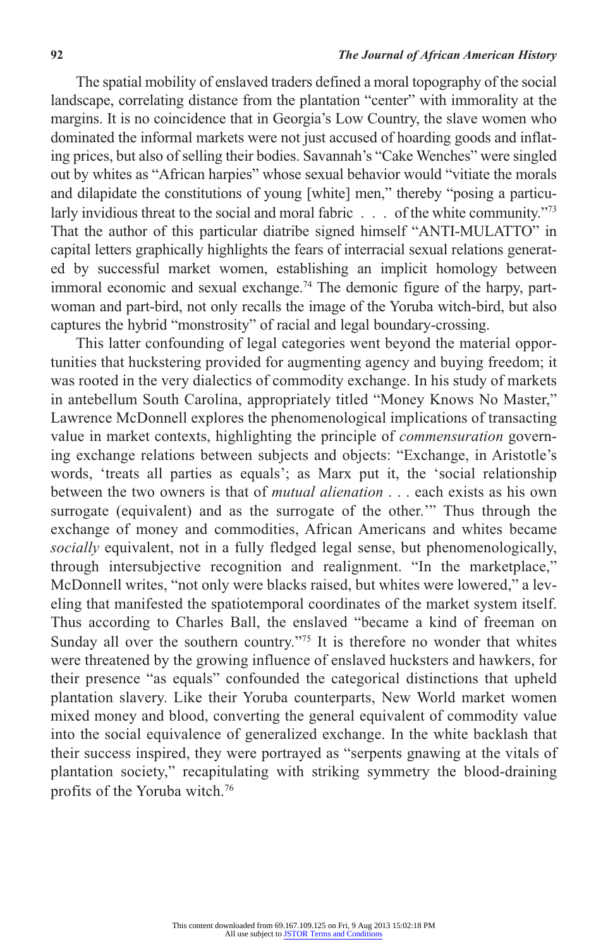The spatial mobility of enslaved traders defined a moral topography of the social landscape, correlating distance from the plantation "center" with immorality at the margins. It is no coincidence that in Georgia's Low Country, the slave women who dominated the informal markets were not just accused of hoarding goods and inflating prices, but also of selling their bodies. Savannah's "Cake Wenches" were singled out by whites as "African harpies" whose sexual behavior would "vitiate the morals and dilapidate the constitutions of young [white] men," thereby "posing a particularly invidious threat to the social and moral fabric . . . of the white community."<sup>73</sup> That the author of this particular diatribe signed himself "ANTI-MULATTO" in capital letters graphically highlights the fears of interracial sexual relations generated by successful market women, establishing an implicit homology between immoral economic and sexual exchange.<sup>74</sup> The demonic figure of the harpy, partwoman and part-bird, not only recalls the image of the Yoruba witch-bird, but also captures the hybrid "monstrosity" of racial and legal boundary-crossing.

This latter confounding of legal categories went beyond the material opportunities that huckstering provided for augmenting agency and buying freedom; it was rooted in the very dialectics of commodity exchange. In his study of markets in antebellum South Carolina, appropriately titled "Money Knows No Master," Lawrence McDonnell explores the phenomenological implications of transacting value in market contexts, highlighting the principle of *commensuration* governing exchange relations between subjects and objects: "Exchange, in Aristotle's words, 'treats all parties as equals'; as Marx put it, the 'social relationship between the two owners is that of *mutual alienation* . . . each exists as his own surrogate (equivalent) and as the surrogate of the other.'" Thus through the exchange of money and commodities, African Americans and whites became *socially* equivalent, not in a fully fledged legal sense, but phenomenologically, through intersubjective recognition and realignment. "In the marketplace," McDonnell writes, "not only were blacks raised, but whites were lowered," a leveling that manifested the spatiotemporal coordinates of the market system itself. Thus according to Charles Ball, the enslaved "became a kind of freeman on Sunday all over the southern country."<sup>75</sup> It is therefore no wonder that whites were threatened by the growing influence of enslaved hucksters and hawkers, for their presence "as equals" confounded the categorical distinctions that upheld plantation slavery. Like their Yoruba counterparts, New World market women mixed money and blood, converting the general equivalent of commodity value into the social equivalence of generalized exchange. In the white backlash that their success inspired, they were portrayed as "serpents gnawing at the vitals of plantation society," recapitulating with striking symmetry the blood-draining profits of the Yoruba witch.76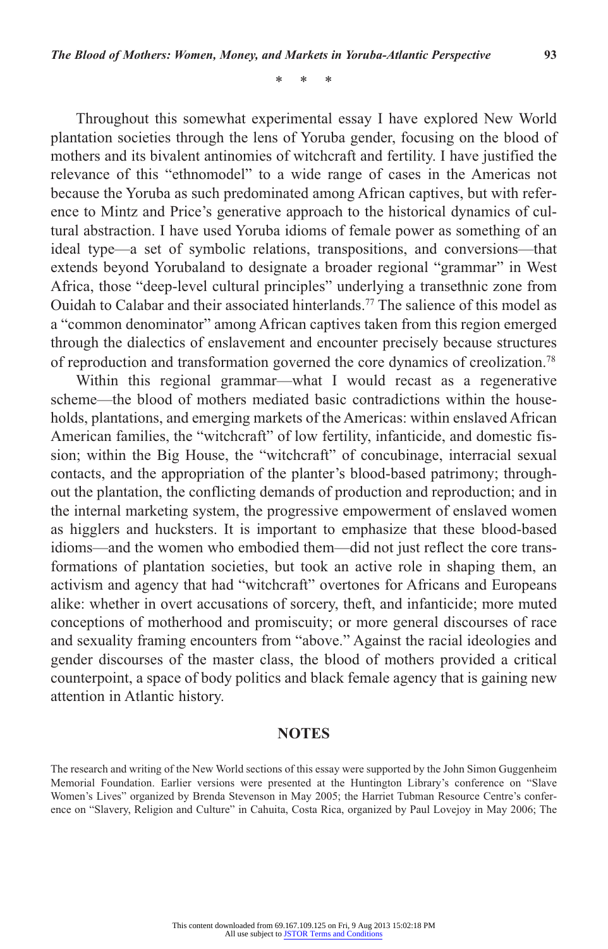\* \* \*

Throughout this somewhat experimental essay I have explored New World plantation societies through the lens of Yoruba gender, focusing on the blood of mothers and its bivalent antinomies of witchcraft and fertility. I have justified the relevance of this "ethnomodel" to a wide range of cases in the Americas not because the Yoruba as such predominated among African captives, but with reference to Mintz and Price's generative approach to the historical dynamics of cultural abstraction. I have used Yoruba idioms of female power as something of an ideal type—a set of symbolic relations, transpositions, and conversions—that extends beyond Yorubaland to designate a broader regional "grammar" in West Africa, those "deep-level cultural principles" underlying a transethnic zone from Ouidah to Calabar and their associated hinterlands.77 The salience of this model as a "common denominator" among African captives taken from this region emerged through the dialectics of enslavement and encounter precisely because structures of reproduction and transformation governed the core dynamics of creolization.78

Within this regional grammar—what I would recast as a regenerative scheme—the blood of mothers mediated basic contradictions within the households, plantations, and emerging markets of the Americas: within enslaved African American families, the "witchcraft" of low fertility, infanticide, and domestic fission; within the Big House, the "witchcraft" of concubinage, interracial sexual contacts, and the appropriation of the planter's blood-based patrimony; throughout the plantation, the conflicting demands of production and reproduction; and in the internal marketing system, the progressive empowerment of enslaved women as higglers and hucksters. It is important to emphasize that these blood-based idioms—and the women who embodied them—did not just reflect the core transformations of plantation societies, but took an active role in shaping them, an activism and agency that had "witchcraft" overtones for Africans and Europeans alike: whether in overt accusations of sorcery, theft, and infanticide; more muted conceptions of motherhood and promiscuity; or more general discourses of race and sexuality framing encounters from "above." Against the racial ideologies and gender discourses of the master class, the blood of mothers provided a critical counterpoint, a space of body politics and black female agency that is gaining new attention in Atlantic history.

## **NOTES**

The research and writing of the New World sections of this essay were supported by the John Simon Guggenheim Memorial Foundation. Earlier versions were presented at the Huntington Library's conference on "Slave Women's Lives" organized by Brenda Stevenson in May 2005; the Harriet Tubman Resource Centre's conference on "Slavery, Religion and Culture" in Cahuita, Costa Rica, organized by Paul Lovejoy in May 2006; The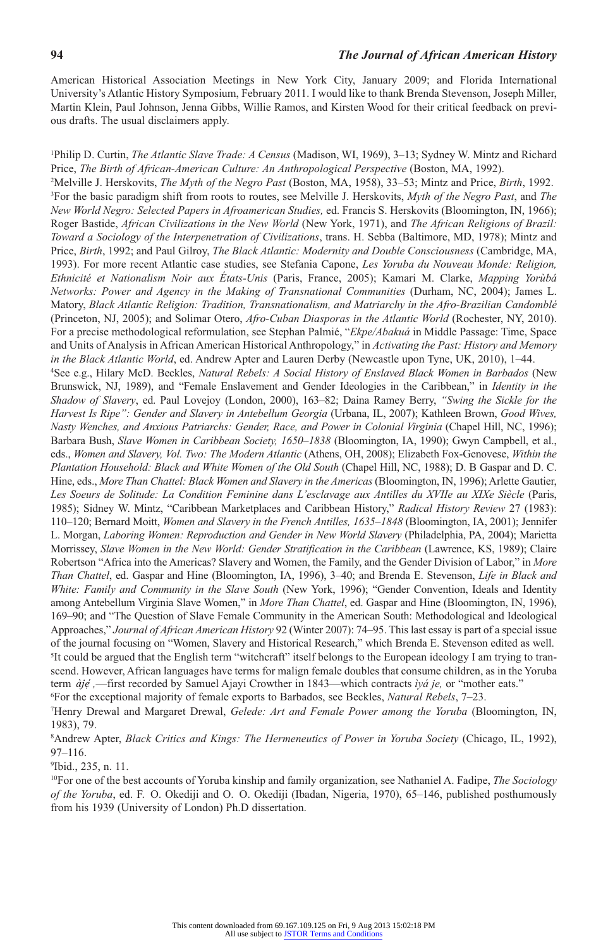American Historical Association Meetings in New York City, January 2009; and Florida International University's Atlantic History Symposium, February 2011. I would like to thank Brenda Stevenson, Joseph Miller, Martin Klein, Paul Johnson, Jenna Gibbs, Willie Ramos, and Kirsten Wood for their critical feedback on previous drafts. The usual disclaimers apply.

1 Philip D. Curtin, *The Atlantic Slave Trade: A Census* (Madison, WI, 1969), 3–13; Sydney W. Mintz and Richard Price, *The Birth of African-American Culture: An Anthropological Perspective* (Boston, MA, 1992). 2 Melville J. Herskovits, *The Myth of the Negro Past* (Boston, MA, 1958), 33–53; Mintz and Price, *Birth*, 1992. 3 For the basic paradigm shift from roots to routes, see Melville J. Herskovits, *Myth of the Negro Past*, and *The New World Negro: Selected Papers in Afroamerican Studies,* ed. Francis S. Herskovits (Bloomington, IN, 1966); Roger Bastide, *African Civilizations in the New World* (New York, 1971), and *The African Religions of Brazil: Toward a Sociology of the Interpenetration of Civilizations*, trans. H. Sebba (Baltimore, MD, 1978); Mintz and Price, *Birth*, 1992; and Paul Gilroy, *The Black Atlantic: Modernity and Double Consciousness* (Cambridge, MA, 1993). For more recent Atlantic case studies, see Stefania Capone, *Les Yoruba du Nouveau Monde: Religion, Ethnicité et Nationalism Noir aux États-Unis* (Paris, France, 2005); Kamari M. Clarke, *Mapping Yorùbá Networks: Power and Agency in the Making of Transnational Communities* (Durham, NC, 2004); James L. Matory, *Black Atlantic Religion: Tradition, Transnationalism, and Matriarchy in the Afro-Brazilian Candomblé* (Princeton, NJ, 2005); and Solimar Otero, *Afro-Cuban Diasporas in the Atlantic World* (Rochester, NY, 2010). For a precise methodological reformulation, see Stephan Palmié, "*Ekpe/Abakuá* in Middle Passage: Time, Space and Units of Analysis in African American Historical Anthropology," in *Activating the Past: History and Memory in the Black Atlantic World*, ed. Andrew Apter and Lauren Derby (Newcastle upon Tyne, UK, 2010), 1–44. 4 See e.g., Hilary McD. Beckles, *Natural Rebels: A Social History of Enslaved Black Women in Barbados* (New Brunswick, NJ, 1989), and "Female Enslavement and Gender Ideologies in the Caribbean," in *Identity in the Shadow of Slavery*, ed. Paul Lovejoy (London, 2000), 163–82; Daina Ramey Berry, *"Swing the Sickle for the Harvest Is Ripe": Gender and Slavery in Antebellum Georgia* (Urbana, IL, 2007); Kathleen Brown, *Good Wives, Nasty Wenches, and Anxious Patriarchs: Gender, Race, and Power in Colonial Virginia* (Chapel Hill, NC, 1996); Barbara Bush, *Slave Women in Caribbean Society, 1650–1838* (Bloomington, IA, 1990); Gwyn Campbell, et al., eds., *Women and Slavery, Vol. Two: The Modern Atlantic* (Athens, OH, 2008); Elizabeth Fox-Genovese, *Within the Plantation Household: Black and White Women of the Old South* (Chapel Hill, NC, 1988); D. B Gaspar and D. C. Hine, eds., *More Than Chattel: Black Women and Slavery in the Americas* (Bloomington, IN, 1996); Arlette Gautier, *Les Soeurs de Solitude: La Condition Feminine dans L'esclavage aux Antilles du XVIIe au XIXe Siècle* (Paris, 1985); Sidney W. Mintz, "Caribbean Marketplaces and Caribbean History," *Radical History Review* 27 (1983): 110–120; Bernard Moitt, *Women and Slavery in the French Antilles, 1635–1848* (Bloomington, IA, 2001); Jennifer L. Morgan, *Laboring Women: Reproduction and Gender in New World Slavery* (Philadelphia, PA, 2004); Marietta Morrissey, *Slave Women in the New World: Gender Stratification in the Caribbean* (Lawrence, KS, 1989); Claire Robertson "Africa into the Americas? Slavery and Women, the Family, and the Gender Division of Labor," in *More Than Chattel*, ed. Gaspar and Hine (Bloomington, IA, 1996), 3–40; and Brenda E. Stevenson, *Life in Black and White: Family and Community in the Slave South* (New York, 1996); "Gender Convention, Ideals and Identity among Antebellum Virginia Slave Women," in *More Than Chattel*, ed. Gaspar and Hine (Bloomington, IN, 1996), 169–90; and "The Question of Slave Female Community in the American South: Methodological and Ideological Approaches," *Journal of African American History* 92 (Winter 2007): 74–95. This last essay is part of a special issue of the journal focusing on "Women, Slavery and Historical Research," which Brenda E. Stevenson edited as well. 5 It could be argued that the English term "witchcraft" itself belongs to the European ideology I am trying to transcend. However, African languages have terms for malign female doubles that consume children, as in the Yoruba term *àjé*,—first recorded by Samuel Ajayi Crowther in 1843—which contracts *ìyá je*, or "mother eats." 6 For the exceptional majority of female exports to Barbados, see Beckles, *Natural Rebels*, 7–23.

7 Henry Drewal and Margaret Drewal, *Gelede: Art and Female Power among the Yoruba* (Bloomington, IN, 1983), 79.

8 Andrew Apter, *Black Critics and Kings: The Hermeneutics of Power in Yoruba Society* (Chicago, IL, 1992), 97–116.

9 Ibid., 235, n. 11.

10For one of the best accounts of Yoruba kinship and family organization, see Nathaniel A. Fadipe, *The Sociology of the Yoruba*, ed. F. O. Okediji and O. O. Okediji (Ibadan, Nigeria, 1970), 65–146, published posthumously from his 1939 (University of London) Ph.D dissertation.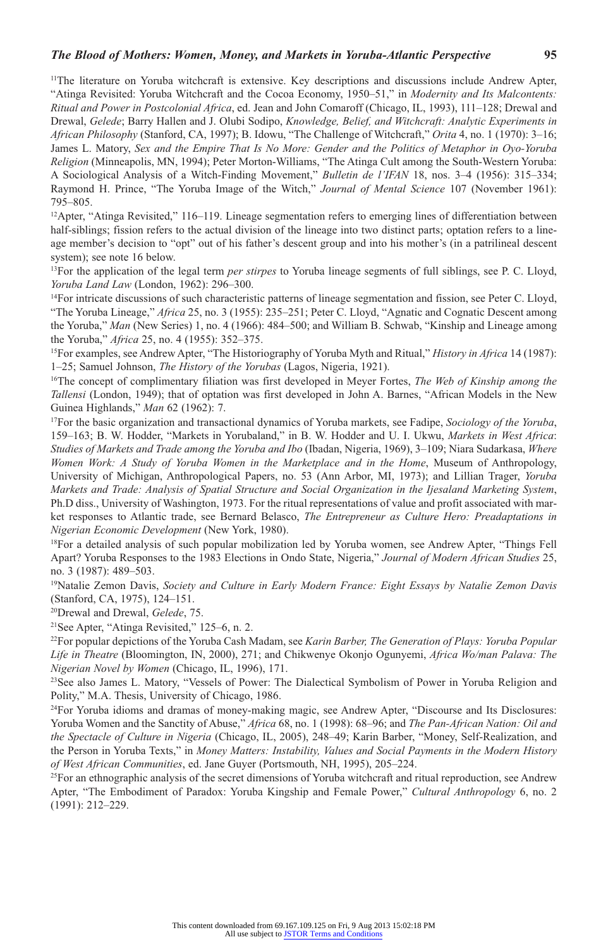#### *The Blood of Mothers: Women, Money, and Markets in Yoruba-Atlantic Perspective* **95**

<sup>11</sup>The literature on Yoruba witchcraft is extensive. Key descriptions and discussions include Andrew Apter, "Atinga Revisited: Yoruba Witchcraft and the Cocoa Economy, 1950–51," in *Modernity and Its Malcontents: Ritual and Power in Postcolonial Africa*, ed. Jean and John Comaroff (Chicago, IL, 1993), 111–128; Drewal and Drewal, *Gelede*; Barry Hallen and J. Olubi Sodipo, *Knowledge, Belief, and Witchcraft: Analytic Experiments in African Philosophy* (Stanford, CA, 1997); B. Idowu, "The Challenge of Witchcraft," *Orita* 4, no. 1 (1970): 3–16; James L. Matory, *Sex and the Empire That Is No More: Gender and the Politics of Metaphor in Oyo-Yoruba Religion* (Minneapolis, MN, 1994); Peter Morton-Williams, "The Atinga Cult among the South-Western Yoruba: A Sociological Analysis of a Witch-Finding Movement," *Bulletin de l'IFAN* 18, nos. 3–4 (1956): 315–334; Raymond H. Prince, "The Yoruba Image of the Witch," *Journal of Mental Science* 107 (November 1961): 795–805.

<sup>12</sup>Apter, "Atinga Revisited," 116–119. Lineage segmentation refers to emerging lines of differentiation between half-siblings; fission refers to the actual division of the lineage into two distinct parts; optation refers to a lineage member's decision to "opt" out of his father's descent group and into his mother's (in a patrilineal descent system); see note 16 below.

13For the application of the legal term *per stirpes* to Yoruba lineage segments of full siblings, see P. C. Lloyd, *Yoruba Land Law* (London, 1962): 296–300.

<sup>14</sup>For intricate discussions of such characteristic patterns of lineage segmentation and fission, see Peter C. Lloyd, "The Yoruba Lineage," *Africa* 25, no. 3 (1955): 235–251; Peter C. Lloyd, "Agnatic and Cognatic Descent among the Yoruba," *Man* (New Series) 1, no. 4 (1966): 484–500; and William B. Schwab, "Kinship and Lineage among the Yoruba," *Africa* 25, no. 4 (1955): 352–375.

15For examples, see Andrew Apter, "The Historiography of Yoruba Myth and Ritual," *History in Africa* 14 (1987): 1–25; Samuel Johnson, *The History of the Yorubas* (Lagos, Nigeria, 1921).

16The concept of complimentary filiation was first developed in Meyer Fortes, *The Web of Kinship among the Tallensi* (London, 1949); that of optation was first developed in John A. Barnes, "African Models in the New Guinea Highlands," *Man* 62 (1962): 7.

17For the basic organization and transactional dynamics of Yoruba markets, see Fadipe, *Sociology of the Yoruba*, 159–163; B. W. Hodder, "Markets in Yorubaland," in B. W. Hodder and U. I. Ukwu, *Markets in West Africa*: *Studies of Markets and Trade among the Yoruba and Ibo* (Ibadan, Nigeria, 1969), 3–109; Niara Sudarkasa, *Where Women Work: A Study of Yoruba Women in the Marketplace and in the Home*, Museum of Anthropology, University of Michigan, Anthropological Papers, no. 53 (Ann Arbor, MI, 1973); and Lillian Trager, *Yoruba Markets and Trade: Analysis of Spatial Structure and Social Organization in the Ijesaland Marketing System*, Ph.D diss., University of Washington, 1973. For the ritual representations of value and profit associated with market responses to Atlantic trade, see Bernard Belasco, *The Entrepreneur as Culture Hero: Preadaptations in Nigerian Economic Development* (New York, 1980).

18For a detailed analysis of such popular mobilization led by Yoruba women, see Andrew Apter, "Things Fell Apart? Yoruba Responses to the 1983 Elections in Ondo State, Nigeria," *Journal of Modern African Studies* 25, no. 3 (1987): 489–503.

19Natalie Zemon Davis, *Society and Culture in Early Modern France: Eight Essays by Natalie Zemon Davis* (Stanford, CA, 1975), 124–151.

20Drewal and Drewal, *Gelede*, 75.

21See Apter, "Atinga Revisited," 125–6, n. 2.

22For popular depictions of the Yoruba Cash Madam, see *Karin Barber, The Generation of Plays: Yoruba Popular Life in Theatre* (Bloomington, IN, 2000), 271; and Chikwenye Okonjo Ogunyemi, *Africa Wo/man Palava: The Nigerian Novel by Women* (Chicago, IL, 1996), 171.

<sup>23</sup>See also James L. Matory, "Vessels of Power: The Dialectical Symbolism of Power in Yoruba Religion and Polity," M.A. Thesis, University of Chicago, 1986.

24For Yoruba idioms and dramas of money-making magic, see Andrew Apter, "Discourse and Its Disclosures: Yoruba Women and the Sanctity of Abuse," *Africa* 68, no. 1 (1998): 68–96; and *The Pan-African Nation: Oil and the Spectacle of Culture in Nigeria* (Chicago, IL, 2005), 248–49; Karin Barber, "Money, Self-Realization, and the Person in Yoruba Texts," in *Money Matters: Instability, Values and Social Payments in the Modern History of West African Communities*, ed. Jane Guyer (Portsmouth, NH, 1995), 205–224.

 $^{25}$ For an ethnographic analysis of the secret dimensions of Yoruba witchcraft and ritual reproduction, see Andrew Apter, "The Embodiment of Paradox: Yoruba Kingship and Female Power," *Cultural Anthropology* 6, no. 2 (1991): 212–229.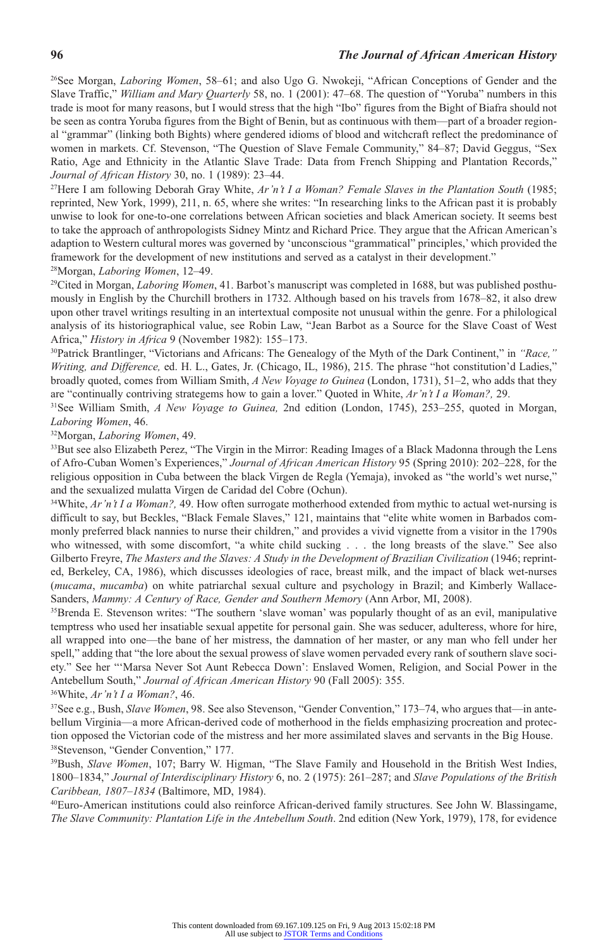26See Morgan, *Laboring Women*, 58–61; and also Ugo G. Nwokeji, "African Conceptions of Gender and the Slave Traffic," *William and Mary Quarterly* 58, no. 1 (2001): 47–68. The question of "Yoruba" numbers in this trade is moot for many reasons, but I would stress that the high "Ibo" figures from the Bight of Biafra should not be seen as contra Yoruba figures from the Bight of Benin, but as continuous with them—part of a broader regional "grammar" (linking both Bights) where gendered idioms of blood and witchcraft reflect the predominance of women in markets. Cf. Stevenson, "The Question of Slave Female Community," 84–87; David Geggus, "Sex Ratio, Age and Ethnicity in the Atlantic Slave Trade: Data from French Shipping and Plantation Records," *Journal of African History* 30, no. 1 (1989): 23–44.

27Here I am following Deborah Gray White, *Ar'n't I a Woman? Female Slaves in the Plantation South* (1985; reprinted, New York, 1999), 211, n. 65, where she writes: "In researching links to the African past it is probably unwise to look for one-to-one correlations between African societies and black American society. It seems best to take the approach of anthropologists Sidney Mintz and Richard Price. They argue that the African American's adaption to Western cultural mores was governed by 'unconscious "grammatical" principles,' which provided the framework for the development of new institutions and served as a catalyst in their development." 28Morgan, *Laboring Women*, 12–49.

29Cited in Morgan, *Laboring Women*, 41. Barbot's manuscript was completed in 1688, but was published posthumously in English by the Churchill brothers in 1732. Although based on his travels from 1678–82, it also drew upon other travel writings resulting in an intertextual composite not unusual within the genre. For a philological analysis of its historiographical value, see Robin Law, "Jean Barbot as a Source for the Slave Coast of West Africa," *History in Africa* 9 (November 1982): 155–173.

30Patrick Brantlinger, "Victorians and Africans: The Genealogy of the Myth of the Dark Continent," in *"Race," Writing, and Difference,* ed. H. L., Gates, Jr. (Chicago, IL, 1986), 215. The phrase "hot constitution'd Ladies," broadly quoted, comes from William Smith, *A New Voyage to Guinea* (London, 1731), 51–2, who adds that they are "continually contriving strategems how to gain a lover." Quoted in White, *Ar'n't I a Woman?,* 29.

31See William Smith, *A New Voyage to Guinea,* 2nd edition (London, 1745), 253–255, quoted in Morgan, *Laboring Women*, 46.

32Morgan, *Laboring Women*, 49.

<sup>33</sup>But see also Elizabeth Perez, "The Virgin in the Mirror: Reading Images of a Black Madonna through the Lens of Afro-Cuban Women's Experiences," *Journal of African American History* 95 (Spring 2010): 202–228, for the religious opposition in Cuba between the black Virgen de Regla (Yemaja), invoked as "the world's wet nurse," and the sexualized mulatta Virgen de Caridad del Cobre (Ochun).

34White, *Ar'n't I a Woman?,* 49. How often surrogate motherhood extended from mythic to actual wet-nursing is difficult to say, but Beckles, "Black Female Slaves," 121, maintains that "elite white women in Barbados commonly preferred black nannies to nurse their children," and provides a vivid vignette from a visitor in the 1790s who witnessed, with some discomfort, "a white child sucking... the long breasts of the slave." See also Gilberto Freyre, *The Masters and the Slaves: A Study in the Development of Brazilian Civilization* (1946; reprinted, Berkeley, CA, 1986), which discusses ideologies of race, breast milk, and the impact of black wet-nurses (*mucama*, *mucamba*) on white patriarchal sexual culture and psychology in Brazil; and Kimberly Wallace-Sanders, *Mammy: A Century of Race, Gender and Southern Memory* (Ann Arbor, MI, 2008).

<sup>35</sup>Brenda E. Stevenson writes: "The southern 'slave woman' was popularly thought of as an evil, manipulative temptress who used her insatiable sexual appetite for personal gain. She was seducer, adulteress, whore for hire, all wrapped into one—the bane of her mistress, the damnation of her master, or any man who fell under her spell," adding that "the lore about the sexual prowess of slave women pervaded every rank of southern slave society." See her "'Marsa Never Sot Aunt Rebecca Down': Enslaved Women, Religion, and Social Power in the Antebellum South," *Journal of African American History* 90 (Fall 2005): 355.

36White, *Ar'n't I a Woman?*, 46.

37See e.g., Bush, *Slave Women*, 98. See also Stevenson, "Gender Convention," 173–74, who argues that—in antebellum Virginia—a more African-derived code of motherhood in the fields emphasizing procreation and protection opposed the Victorian code of the mistress and her more assimilated slaves and servants in the Big House. 38Stevenson, "Gender Convention," 177.

39Bush, *Slave Women*, 107; Barry W. Higman, "The Slave Family and Household in the British West Indies, 1800–1834," *Journal of Interdisciplinary History* 6, no. 2 (1975): 261–287; and *Slave Populations of the British Caribbean, 1807–1834* (Baltimore, MD, 1984).

40Euro-American institutions could also reinforce African-derived family structures. See John W. Blassingame, *The Slave Community: Plantation Life in the Antebellum South*. 2nd edition (New York, 1979), 178, for evidence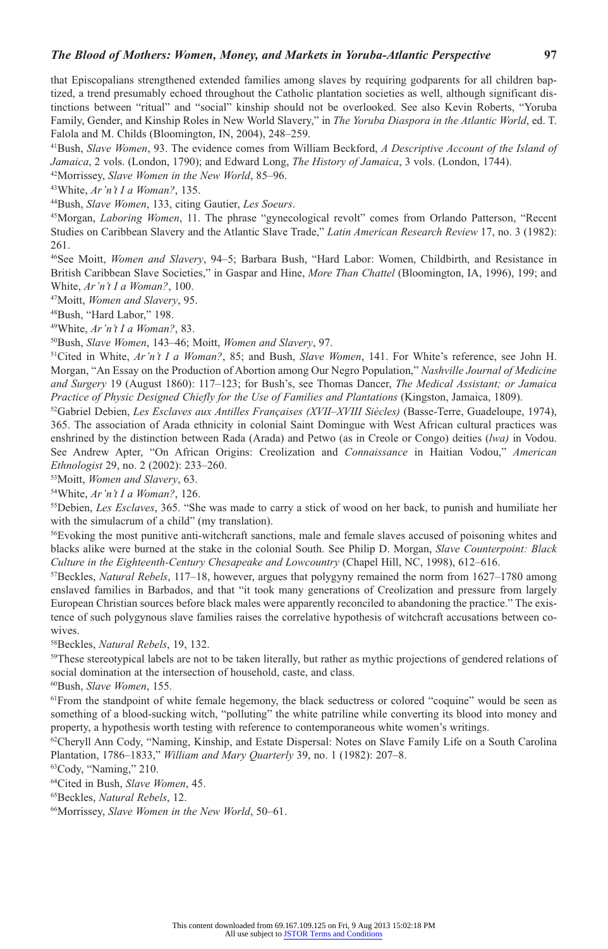that Episcopalians strengthened extended families among slaves by requiring godparents for all children baptized, a trend presumably echoed throughout the Catholic plantation societies as well, although significant distinctions between "ritual" and "social" kinship should not be overlooked. See also Kevin Roberts, "Yoruba Family, Gender, and Kinship Roles in New World Slavery," in *The Yoruba Diaspora in the Atlantic World*, ed. T. Falola and M. Childs (Bloomington, IN, 2004), 248–259.

41Bush, *Slave Women*, 93. The evidence comes from William Beckford, *A Descriptive Account of the Island of Jamaica*, 2 vols. (London, 1790); and Edward Long, *The History of Jamaica*, 3 vols. (London, 1744). 42Morrissey, *Slave Women in the New World*, 85–96.

43White, *Ar'n't I a Woman?*, 135.

44Bush, *Slave Women*, 133, citing Gautier, *Les Soeurs*.

45Morgan, *Laboring Women*, 11. The phrase "gynecological revolt" comes from Orlando Patterson, "Recent Studies on Caribbean Slavery and the Atlantic Slave Trade," *Latin American Research Review* 17, no. 3 (1982): 261.

46See Moitt, *Women and Slavery*, 94–5; Barbara Bush, "Hard Labor: Women, Childbirth, and Resistance in British Caribbean Slave Societies," in Gaspar and Hine, *More Than Chattel* (Bloomington, IA, 1996), 199; and White, *Ar'n't I a Woman?*, 100.

47Moitt, *Women and Slavery*, 95.

48Bush, "Hard Labor," 198.

49White, *Ar'n't I a Woman?*, 83.

50Bush, *Slave Women*, 143–46; Moitt, *Women and Slavery*, 97.

51Cited in White, *Ar'n't I a Woman?*, 85; and Bush, *Slave Women*, 141. For White's reference, see John H. Morgan, "An Essay on the Production of Abortion among Our Negro Population," *Nashville Journal of Medicine and Surgery* 19 (August 1860): 117–123; for Bush's, see Thomas Dancer, *The Medical Assistant; or Jamaica Practice of Physic Designed Chiefly for the Use of Families and Plantations* (Kingston, Jamaica, 1809).

52Gabriel Debien, *Les Esclaves aux Antilles Françaises (XVII–XVIII Siècles)* (Basse-Terre, Guadeloupe, 1974), 365. The association of Arada ethnicity in colonial Saint Domingue with West African cultural practices was enshrined by the distinction between Rada (Arada) and Petwo (as in Creole or Congo) deities (*lwa)* in Vodou. See Andrew Apter, "On African Origins: Creolization and *Connaissance* in Haitian Vodou," *American Ethnologist* 29, no. 2 (2002): 233–260.

53Moitt, *Women and Slavery*, 63.

54White, *Ar'n't I a Woman?*, 126.

55Debien, *Les Esclaves*, 365. "She was made to carry a stick of wood on her back, to punish and humiliate her with the simulacrum of a child" (my translation).

56Evoking the most punitive anti-witchcraft sanctions, male and female slaves accused of poisoning whites and blacks alike were burned at the stake in the colonial South. See Philip D. Morgan, *Slave Counterpoint: Black Culture in the Eighteenth-Century Chesapeake and Lowcountry* (Chapel Hill, NC, 1998), 612–616. 57Beckles, *Natural Rebels*, 117–18, however, argues that polygyny remained the norm from 1627–1780 among

enslaved families in Barbados, and that "it took many generations of Creolization and pressure from largely European Christian sources before black males were apparently reconciled to abandoning the practice." The existence of such polygynous slave families raises the correlative hypothesis of witchcraft accusations between cowives.

58Beckles, *Natural Rebels*, 19, 132.

<sup>59</sup>These stereotypical labels are not to be taken literally, but rather as mythic projections of gendered relations of social domination at the intersection of household, caste, and class.

60Bush, *Slave Women*, 155.

61From the standpoint of white female hegemony, the black seductress or colored "coquine" would be seen as something of a blood-sucking witch, "polluting" the white patriline while converting its blood into money and property, a hypothesis worth testing with reference to contemporaneous white women's writings.

 $62$ Cheryll Ann Cody, "Naming, Kinship, and Estate Dispersal: Notes on Slave Family Life on a South Carolina Plantation, 1786–1833," *William and Mary Quarterly* 39, no. 1 (1982): 207–8.

63Cody, "Naming," 210.

64Cited in Bush, *Slave Women*, 45.

65Beckles, *Natural Rebels*, 12.

66Morrissey, *Slave Women in the New World*, 50–61.